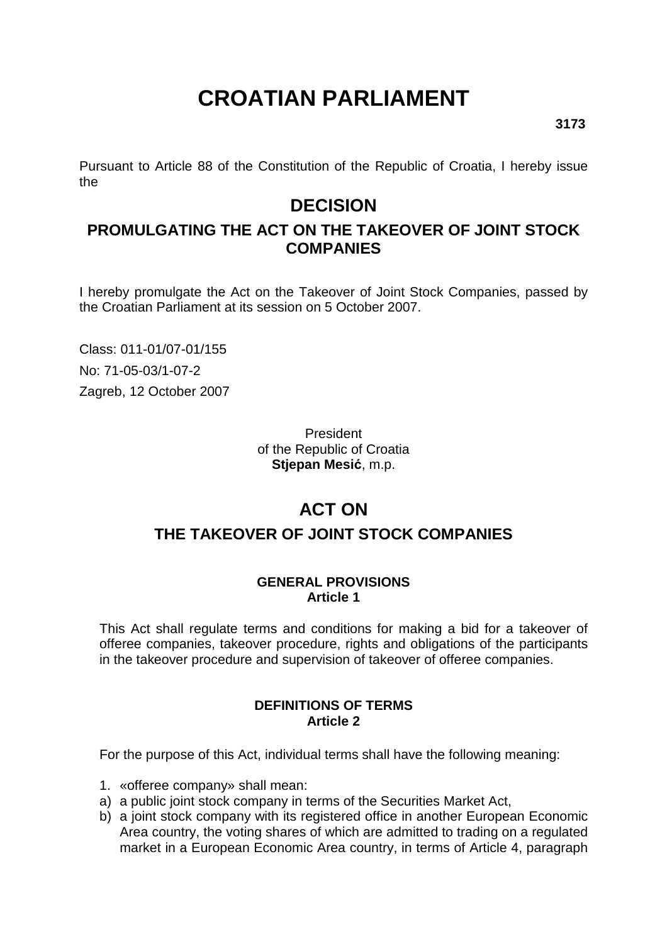# **CROATIAN PARLIAMENT**

Pursuant to Article 88 of the Constitution of the Republic of Croatia, I hereby issue the

## **DECISION**

### **PROMULGATING THE ACT ON THE TAKEOVER OF JOINT STOCK COMPANIES**

I hereby promulgate the Act on the Takeover of Joint Stock Companies, passed by the Croatian Parliament at its session on 5 October 2007.

Class: 011-01/07-01/155 No: 71-05-03/1-07-2 Zagreb, 12 October 2007

> President of the Republic of Croatia **Stjepan Mesi**ć, m.p.

## **ACT ON**

## **THE TAKEOVER OF JOINT STOCK COMPANIES**

#### **GENERAL PROVISIONS Article 1**

This Act shall regulate terms and conditions for making a bid for a takeover of offeree companies, takeover procedure, rights and obligations of the participants in the takeover procedure and supervision of takeover of offeree companies.

#### **DEFINITIONS OF TERMS Article 2**

For the purpose of this Act, individual terms shall have the following meaning:

- 1. «offeree company» shall mean:
- a) a public joint stock company in terms of the Securities Market Act,
- b) a joint stock company with its registered office in another European Economic Area country, the voting shares of which are admitted to trading on a regulated market in a European Economic Area country, in terms of Article 4, paragraph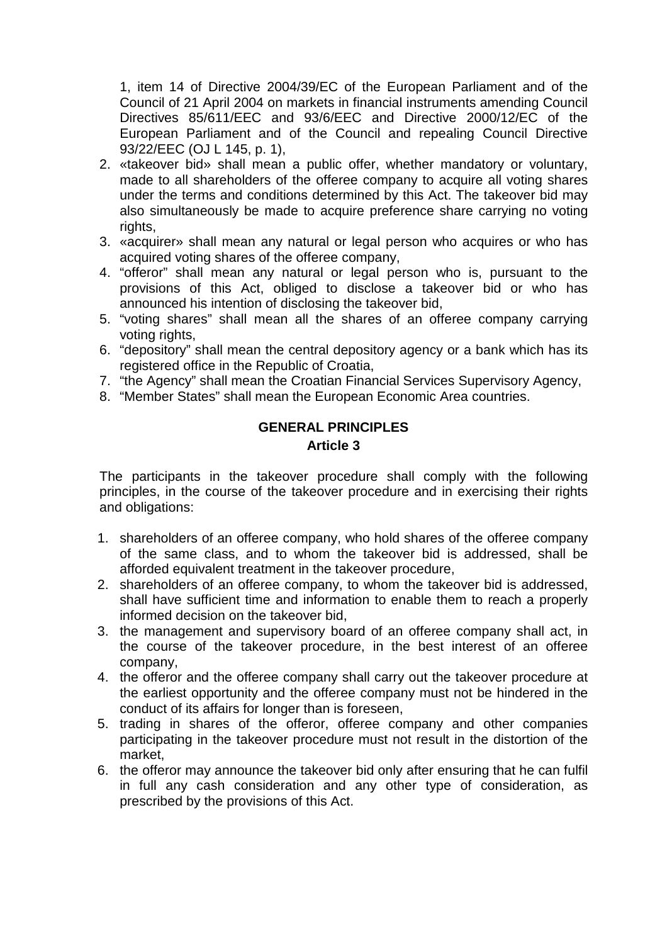1, item 14 of Directive 2004/39/EC of the European Parliament and of the Council of 21 April 2004 on markets in financial instruments amending Council Directives 85/611/EEC and 93/6/EEC and Directive 2000/12/EC of the European Parliament and of the Council and repealing Council Directive 93/22/EEC (OJ L 145, p. 1),

- 2. «takeover bid» shall mean a public offer, whether mandatory or voluntary, made to all shareholders of the offeree company to acquire all voting shares under the terms and conditions determined by this Act. The takeover bid may also simultaneously be made to acquire preference share carrying no voting rights,
- 3. «acquirer» shall mean any natural or legal person who acquires or who has acquired voting shares of the offeree company,
- 4. "offeror" shall mean any natural or legal person who is, pursuant to the provisions of this Act, obliged to disclose a takeover bid or who has announced his intention of disclosing the takeover bid,
- 5. "voting shares" shall mean all the shares of an offeree company carrying voting rights,
- 6. "depository" shall mean the central depository agency or a bank which has its registered office in the Republic of Croatia,
- 7. "the Agency" shall mean the Croatian Financial Services Supervisory Agency,
- 8. "Member States" shall mean the European Economic Area countries.

#### **GENERAL PRINCIPLES Article 3**

The participants in the takeover procedure shall comply with the following principles, in the course of the takeover procedure and in exercising their rights and obligations:

- 1. shareholders of an offeree company, who hold shares of the offeree company of the same class, and to whom the takeover bid is addressed, shall be afforded equivalent treatment in the takeover procedure,
- 2. shareholders of an offeree company, to whom the takeover bid is addressed, shall have sufficient time and information to enable them to reach a properly informed decision on the takeover bid,
- 3. the management and supervisory board of an offeree company shall act, in the course of the takeover procedure, in the best interest of an offeree company,
- 4. the offeror and the offeree company shall carry out the takeover procedure at the earliest opportunity and the offeree company must not be hindered in the conduct of its affairs for longer than is foreseen,
- 5. trading in shares of the offeror, offeree company and other companies participating in the takeover procedure must not result in the distortion of the market,
- 6. the offeror may announce the takeover bid only after ensuring that he can fulfil in full any cash consideration and any other type of consideration, as prescribed by the provisions of this Act.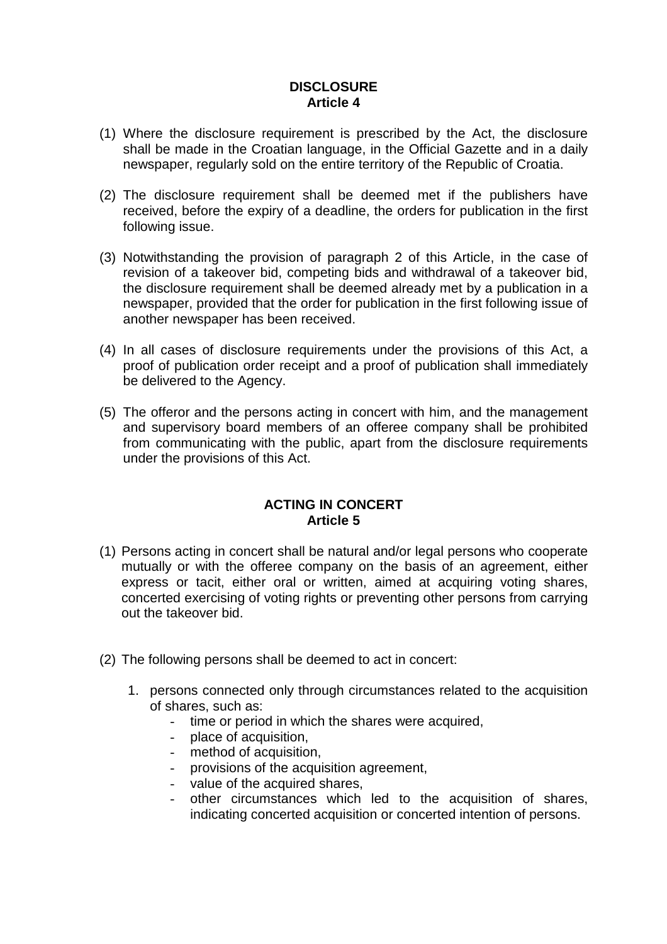#### **DISCLOSURE Article 4**

- (1) Where the disclosure requirement is prescribed by the Act, the disclosure shall be made in the Croatian language, in the Official Gazette and in a daily newspaper, regularly sold on the entire territory of the Republic of Croatia.
- (2) The disclosure requirement shall be deemed met if the publishers have received, before the expiry of a deadline, the orders for publication in the first following issue.
- (3) Notwithstanding the provision of paragraph 2 of this Article, in the case of revision of a takeover bid, competing bids and withdrawal of a takeover bid, the disclosure requirement shall be deemed already met by a publication in a newspaper, provided that the order for publication in the first following issue of another newspaper has been received.
- (4) In all cases of disclosure requirements under the provisions of this Act, a proof of publication order receipt and a proof of publication shall immediately be delivered to the Agency.
- (5) The offeror and the persons acting in concert with him, and the management and supervisory board members of an offeree company shall be prohibited from communicating with the public, apart from the disclosure requirements under the provisions of this Act.

#### **ACTING IN CONCERT Article 5**

- (1) Persons acting in concert shall be natural and/or legal persons who cooperate mutually or with the offeree company on the basis of an agreement, either express or tacit, either oral or written, aimed at acquiring voting shares, concerted exercising of voting rights or preventing other persons from carrying out the takeover bid.
- (2) The following persons shall be deemed to act in concert:
	- 1. persons connected only through circumstances related to the acquisition of shares, such as:
		- time or period in which the shares were acquired,
		- place of acquisition,
		- method of acquisition,
		- provisions of the acquisition agreement,
		- value of the acquired shares,
		- other circumstances which led to the acquisition of shares, indicating concerted acquisition or concerted intention of persons.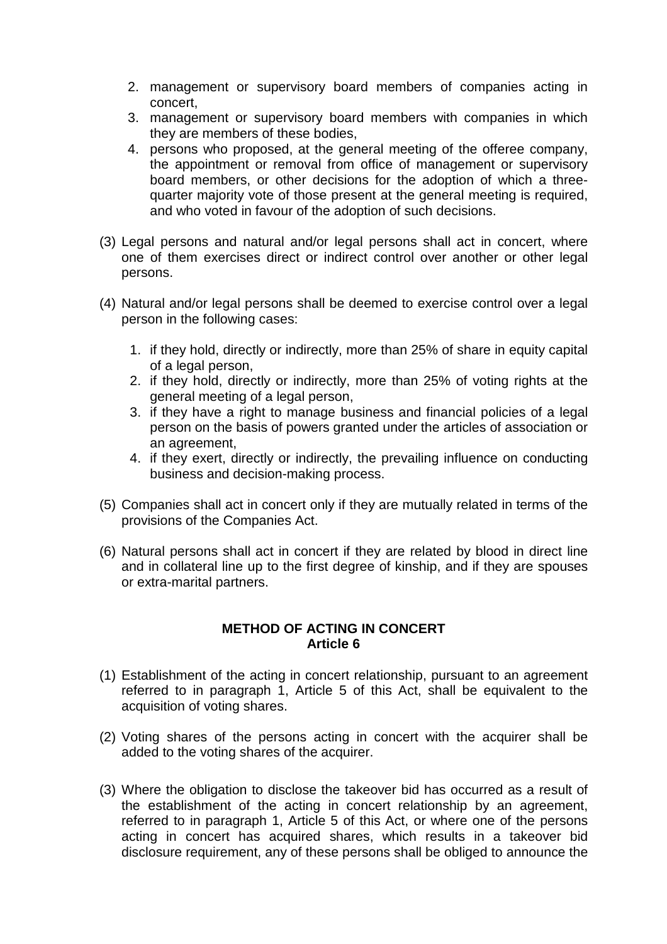- 2. management or supervisory board members of companies acting in concert,
- 3. management or supervisory board members with companies in which they are members of these bodies,
- 4. persons who proposed, at the general meeting of the offeree company, the appointment or removal from office of management or supervisory board members, or other decisions for the adoption of which a threequarter majority vote of those present at the general meeting is required, and who voted in favour of the adoption of such decisions.
- (3) Legal persons and natural and/or legal persons shall act in concert, where one of them exercises direct or indirect control over another or other legal persons.
- (4) Natural and/or legal persons shall be deemed to exercise control over a legal person in the following cases:
	- 1. if they hold, directly or indirectly, more than 25% of share in equity capital of a legal person,
	- 2. if they hold, directly or indirectly, more than 25% of voting rights at the general meeting of a legal person,
	- 3. if they have a right to manage business and financial policies of a legal person on the basis of powers granted under the articles of association or an agreement,
	- 4. if they exert, directly or indirectly, the prevailing influence on conducting business and decision-making process.
- (5) Companies shall act in concert only if they are mutually related in terms of the provisions of the Companies Act.
- (6) Natural persons shall act in concert if they are related by blood in direct line and in collateral line up to the first degree of kinship, and if they are spouses or extra-marital partners.

#### **METHOD OF ACTING IN CONCERT Article 6**

- (1) Establishment of the acting in concert relationship, pursuant to an agreement referred to in paragraph 1, Article 5 of this Act, shall be equivalent to the acquisition of voting shares.
- (2) Voting shares of the persons acting in concert with the acquirer shall be added to the voting shares of the acquirer.
- (3) Where the obligation to disclose the takeover bid has occurred as a result of the establishment of the acting in concert relationship by an agreement, referred to in paragraph 1, Article 5 of this Act, or where one of the persons acting in concert has acquired shares, which results in a takeover bid disclosure requirement, any of these persons shall be obliged to announce the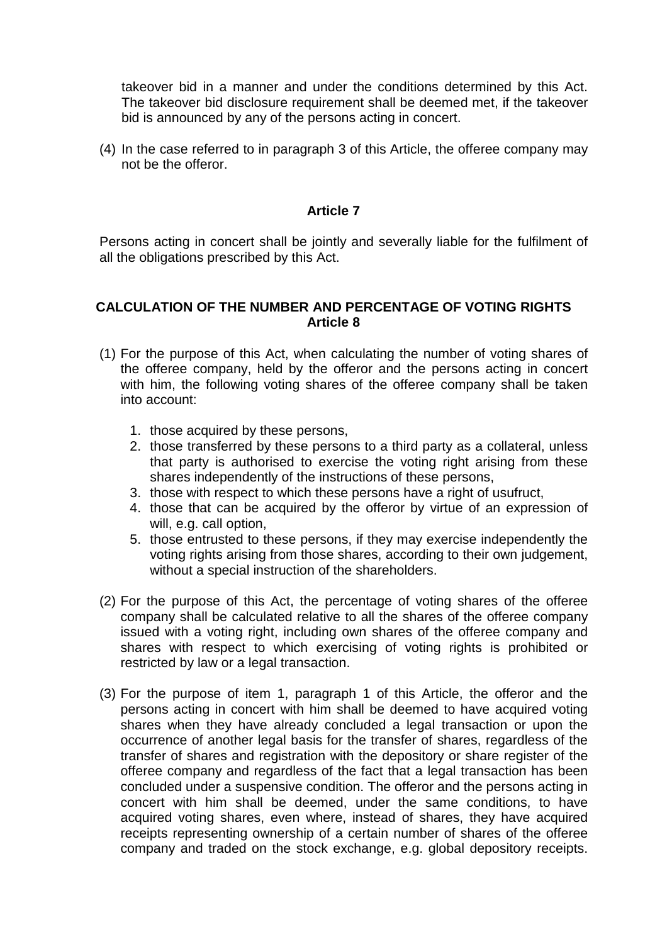takeover bid in a manner and under the conditions determined by this Act. The takeover bid disclosure requirement shall be deemed met, if the takeover bid is announced by any of the persons acting in concert.

(4) In the case referred to in paragraph 3 of this Article, the offeree company may not be the offeror.

#### **Article 7**

Persons acting in concert shall be jointly and severally liable for the fulfilment of all the obligations prescribed by this Act.

#### **CALCULATION OF THE NUMBER AND PERCENTAGE OF VOTING RIGHTS Article 8**

- (1) For the purpose of this Act, when calculating the number of voting shares of the offeree company, held by the offeror and the persons acting in concert with him, the following voting shares of the offeree company shall be taken into account:
	- 1. those acquired by these persons,
	- 2. those transferred by these persons to a third party as a collateral, unless that party is authorised to exercise the voting right arising from these shares independently of the instructions of these persons,
	- 3. those with respect to which these persons have a right of usufruct,
	- 4. those that can be acquired by the offeror by virtue of an expression of will, e.g. call option,
	- 5. those entrusted to these persons, if they may exercise independently the voting rights arising from those shares, according to their own judgement, without a special instruction of the shareholders.
- (2) For the purpose of this Act, the percentage of voting shares of the offeree company shall be calculated relative to all the shares of the offeree company issued with a voting right, including own shares of the offeree company and shares with respect to which exercising of voting rights is prohibited or restricted by law or a legal transaction.
- (3) For the purpose of item 1, paragraph 1 of this Article, the offeror and the persons acting in concert with him shall be deemed to have acquired voting shares when they have already concluded a legal transaction or upon the occurrence of another legal basis for the transfer of shares, regardless of the transfer of shares and registration with the depository or share register of the offeree company and regardless of the fact that a legal transaction has been concluded under a suspensive condition. The offeror and the persons acting in concert with him shall be deemed, under the same conditions, to have acquired voting shares, even where, instead of shares, they have acquired receipts representing ownership of a certain number of shares of the offeree company and traded on the stock exchange, e.g. global depository receipts.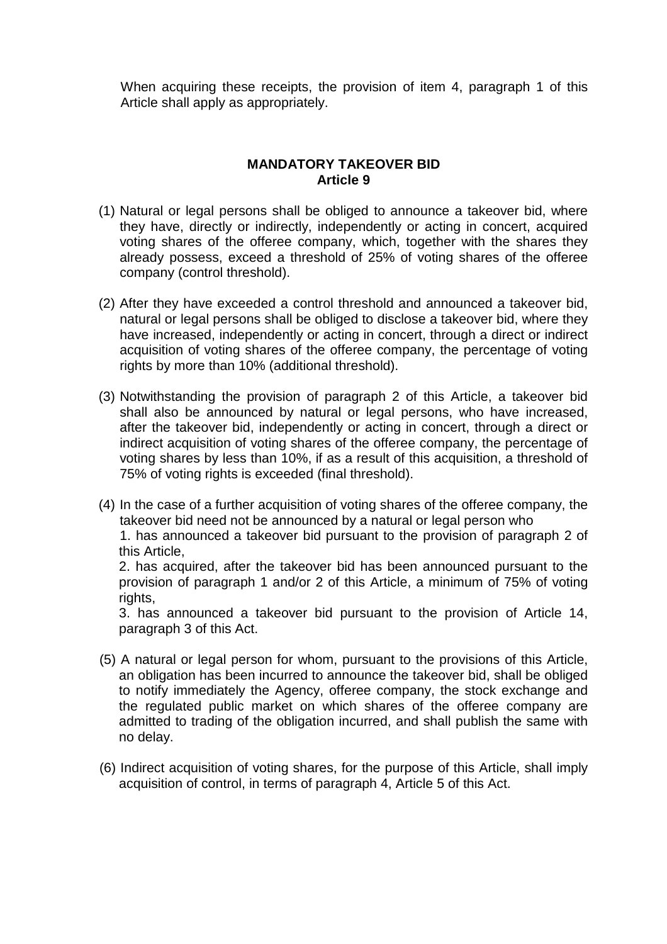When acquiring these receipts, the provision of item 4, paragraph 1 of this Article shall apply as appropriately.

#### **MANDATORY TAKEOVER BID Article 9**

- (1) Natural or legal persons shall be obliged to announce a takeover bid, where they have, directly or indirectly, independently or acting in concert, acquired voting shares of the offeree company, which, together with the shares they already possess, exceed a threshold of 25% of voting shares of the offeree company (control threshold).
- (2) After they have exceeded a control threshold and announced a takeover bid, natural or legal persons shall be obliged to disclose a takeover bid, where they have increased, independently or acting in concert, through a direct or indirect acquisition of voting shares of the offeree company, the percentage of voting rights by more than 10% (additional threshold).
- (3) Notwithstanding the provision of paragraph 2 of this Article, a takeover bid shall also be announced by natural or legal persons, who have increased. after the takeover bid, independently or acting in concert, through a direct or indirect acquisition of voting shares of the offeree company, the percentage of voting shares by less than 10%, if as a result of this acquisition, a threshold of 75% of voting rights is exceeded (final threshold).
- (4) In the case of a further acquisition of voting shares of the offeree company, the takeover bid need not be announced by a natural or legal person who 1. has announced a takeover bid pursuant to the provision of paragraph 2 of

this Article,

2. has acquired, after the takeover bid has been announced pursuant to the provision of paragraph 1 and/or 2 of this Article, a minimum of 75% of voting rights.

3. has announced a takeover bid pursuant to the provision of Article 14, paragraph 3 of this Act.

- (5) A natural or legal person for whom, pursuant to the provisions of this Article, an obligation has been incurred to announce the takeover bid, shall be obliged to notify immediately the Agency, offeree company, the stock exchange and the regulated public market on which shares of the offeree company are admitted to trading of the obligation incurred, and shall publish the same with no delay.
- (6) Indirect acquisition of voting shares, for the purpose of this Article, shall imply acquisition of control, in terms of paragraph 4, Article 5 of this Act.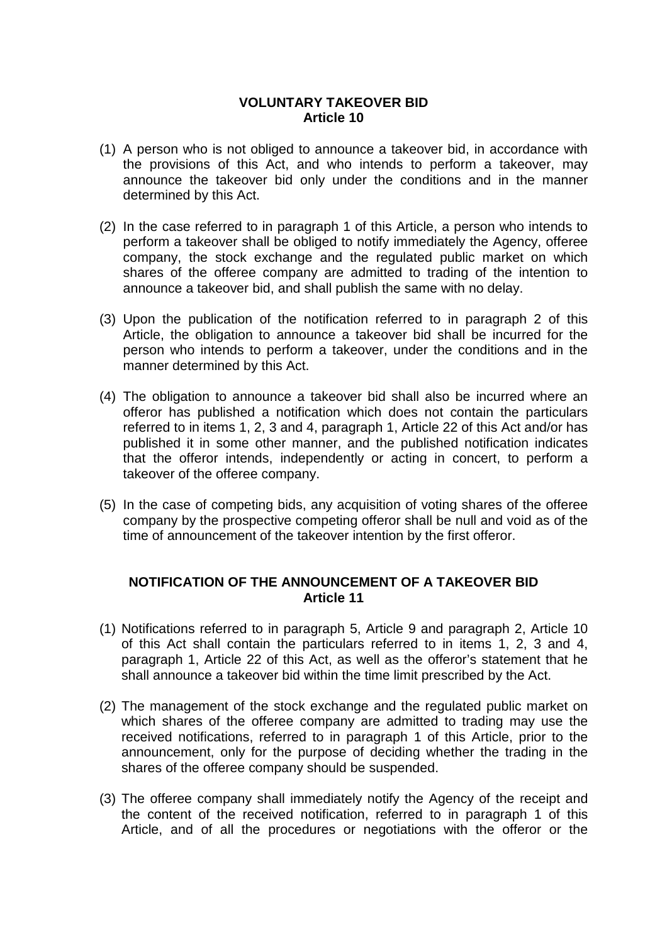#### **VOLUNTARY TAKEOVER BID Article 10**

- (1) A person who is not obliged to announce a takeover bid, in accordance with the provisions of this Act, and who intends to perform a takeover, may announce the takeover bid only under the conditions and in the manner determined by this Act.
- (2) In the case referred to in paragraph 1 of this Article, a person who intends to perform a takeover shall be obliged to notify immediately the Agency, offeree company, the stock exchange and the regulated public market on which shares of the offeree company are admitted to trading of the intention to announce a takeover bid, and shall publish the same with no delay.
- (3) Upon the publication of the notification referred to in paragraph 2 of this Article, the obligation to announce a takeover bid shall be incurred for the person who intends to perform a takeover, under the conditions and in the manner determined by this Act.
- (4) The obligation to announce a takeover bid shall also be incurred where an offeror has published a notification which does not contain the particulars referred to in items 1, 2, 3 and 4, paragraph 1, Article 22 of this Act and/or has published it in some other manner, and the published notification indicates that the offeror intends, independently or acting in concert, to perform a takeover of the offeree company.
- (5) In the case of competing bids, any acquisition of voting shares of the offeree company by the prospective competing offeror shall be null and void as of the time of announcement of the takeover intention by the first offeror.

#### **NOTIFICATION OF THE ANNOUNCEMENT OF A TAKEOVER BID Article 11**

- (1) Notifications referred to in paragraph 5, Article 9 and paragraph 2, Article 10 of this Act shall contain the particulars referred to in items 1, 2, 3 and 4, paragraph 1, Article 22 of this Act, as well as the offeror's statement that he shall announce a takeover bid within the time limit prescribed by the Act.
- (2) The management of the stock exchange and the regulated public market on which shares of the offeree company are admitted to trading may use the received notifications, referred to in paragraph 1 of this Article, prior to the announcement, only for the purpose of deciding whether the trading in the shares of the offeree company should be suspended.
- (3) The offeree company shall immediately notify the Agency of the receipt and the content of the received notification, referred to in paragraph 1 of this Article, and of all the procedures or negotiations with the offeror or the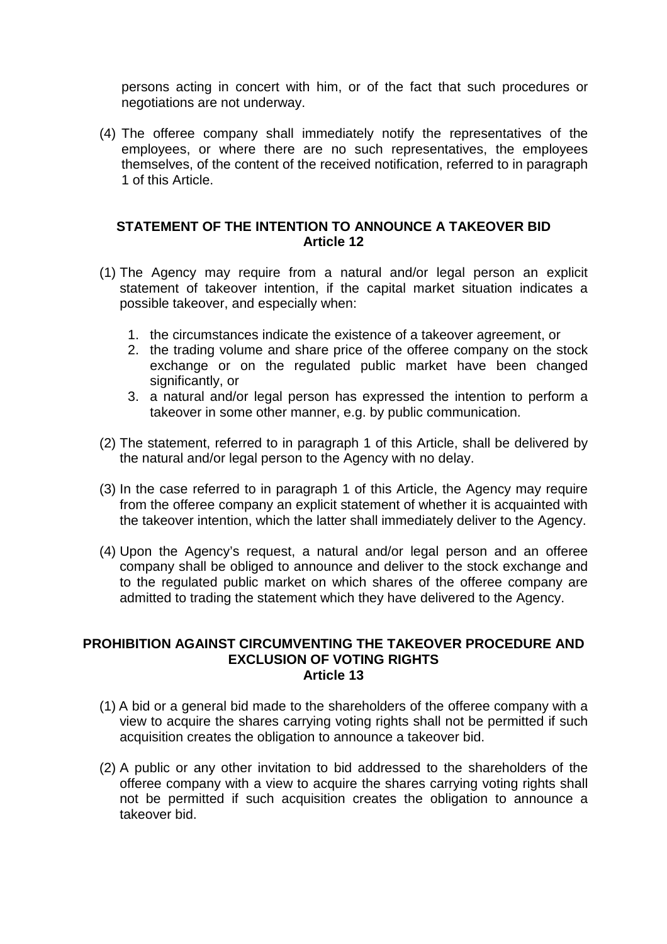persons acting in concert with him, or of the fact that such procedures or negotiations are not underway.

(4) The offeree company shall immediately notify the representatives of the employees, or where there are no such representatives, the employees themselves, of the content of the received notification, referred to in paragraph 1 of this Article.

#### **STATEMENT OF THE INTENTION TO ANNOUNCE A TAKEOVER BID Article 12**

- (1) The Agency may require from a natural and/or legal person an explicit statement of takeover intention, if the capital market situation indicates a possible takeover, and especially when:
	- 1. the circumstances indicate the existence of a takeover agreement, or
	- 2. the trading volume and share price of the offeree company on the stock exchange or on the regulated public market have been changed significantly, or
	- 3. a natural and/or legal person has expressed the intention to perform a takeover in some other manner, e.g. by public communication.
- (2) The statement, referred to in paragraph 1 of this Article, shall be delivered by the natural and/or legal person to the Agency with no delay.
- (3) In the case referred to in paragraph 1 of this Article, the Agency may require from the offeree company an explicit statement of whether it is acquainted with the takeover intention, which the latter shall immediately deliver to the Agency.
- (4) Upon the Agency's request, a natural and/or legal person and an offeree company shall be obliged to announce and deliver to the stock exchange and to the regulated public market on which shares of the offeree company are admitted to trading the statement which they have delivered to the Agency.

#### **PROHIBITION AGAINST CIRCUMVENTING THE TAKEOVER PROCEDURE AND EXCLUSION OF VOTING RIGHTS Article 13**

- (1) A bid or a general bid made to the shareholders of the offeree company with a view to acquire the shares carrying voting rights shall not be permitted if such acquisition creates the obligation to announce a takeover bid.
- (2) A public or any other invitation to bid addressed to the shareholders of the offeree company with a view to acquire the shares carrying voting rights shall not be permitted if such acquisition creates the obligation to announce a takeover bid.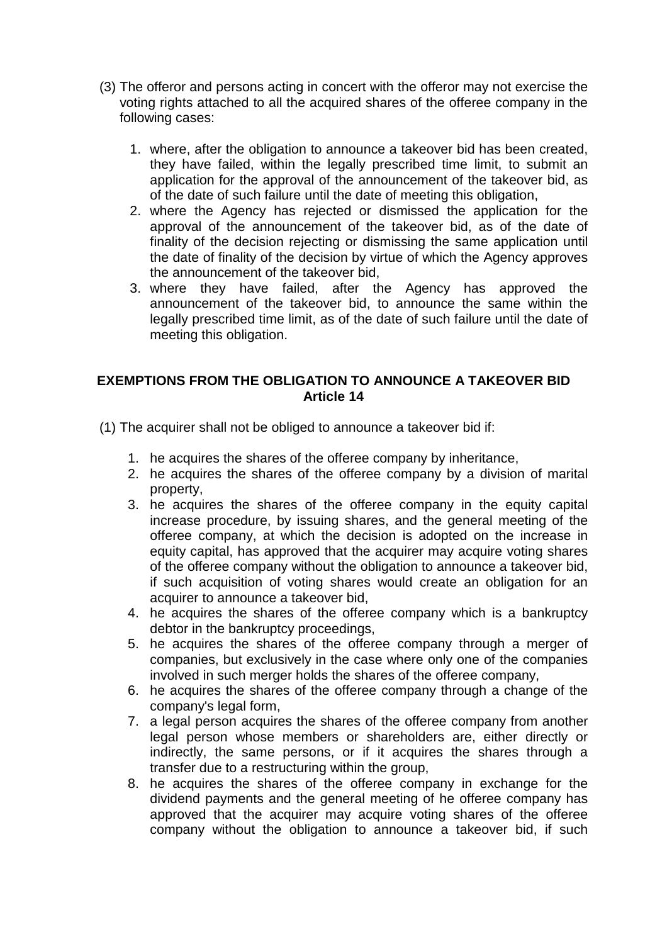- (3) The offeror and persons acting in concert with the offeror may not exercise the voting rights attached to all the acquired shares of the offeree company in the following cases:
	- 1. where, after the obligation to announce a takeover bid has been created, they have failed, within the legally prescribed time limit, to submit an application for the approval of the announcement of the takeover bid, as of the date of such failure until the date of meeting this obligation,
	- 2. where the Agency has rejected or dismissed the application for the approval of the announcement of the takeover bid, as of the date of finality of the decision rejecting or dismissing the same application until the date of finality of the decision by virtue of which the Agency approves the announcement of the takeover bid,
	- 3. where they have failed, after the Agency has approved the announcement of the takeover bid, to announce the same within the legally prescribed time limit, as of the date of such failure until the date of meeting this obligation.

#### **EXEMPTIONS FROM THE OBLIGATION TO ANNOUNCE A TAKEOVER BID Article 14**

(1) The acquirer shall not be obliged to announce a takeover bid if:

- 1. he acquires the shares of the offeree company by inheritance,
- 2. he acquires the shares of the offeree company by a division of marital property,
- 3. he acquires the shares of the offeree company in the equity capital increase procedure, by issuing shares, and the general meeting of the offeree company, at which the decision is adopted on the increase in equity capital, has approved that the acquirer may acquire voting shares of the offeree company without the obligation to announce a takeover bid, if such acquisition of voting shares would create an obligation for an acquirer to announce a takeover bid,
- 4. he acquires the shares of the offeree company which is a bankruptcy debtor in the bankruptcy proceedings,
- 5. he acquires the shares of the offeree company through a merger of companies, but exclusively in the case where only one of the companies involved in such merger holds the shares of the offeree company,
- 6. he acquires the shares of the offeree company through a change of the company's legal form,
- 7. a legal person acquires the shares of the offeree company from another legal person whose members or shareholders are, either directly or indirectly, the same persons, or if it acquires the shares through a transfer due to a restructuring within the group,
- 8. he acquires the shares of the offeree company in exchange for the dividend payments and the general meeting of he offeree company has approved that the acquirer may acquire voting shares of the offeree company without the obligation to announce a takeover bid, if such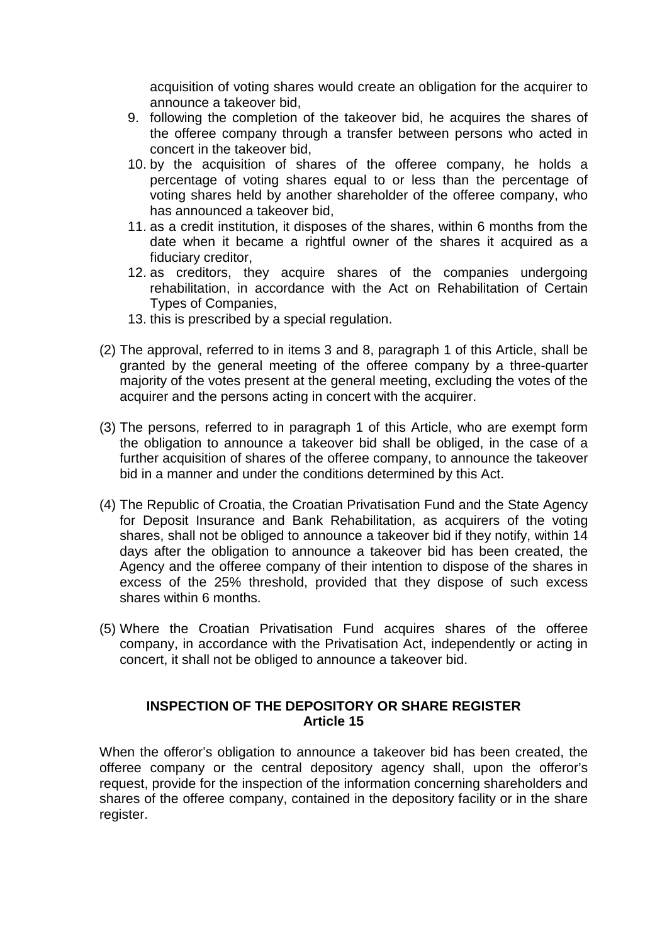acquisition of voting shares would create an obligation for the acquirer to announce a takeover bid,

- 9. following the completion of the takeover bid, he acquires the shares of the offeree company through a transfer between persons who acted in concert in the takeover bid,
- 10. by the acquisition of shares of the offeree company, he holds a percentage of voting shares equal to or less than the percentage of voting shares held by another shareholder of the offeree company, who has announced a takeover bid,
- 11. as a credit institution, it disposes of the shares, within 6 months from the date when it became a rightful owner of the shares it acquired as a fiduciary creditor,
- 12. as creditors, they acquire shares of the companies undergoing rehabilitation, in accordance with the Act on Rehabilitation of Certain Types of Companies,
- 13. this is prescribed by a special regulation.
- (2) The approval, referred to in items 3 and 8, paragraph 1 of this Article, shall be granted by the general meeting of the offeree company by a three-quarter majority of the votes present at the general meeting, excluding the votes of the acquirer and the persons acting in concert with the acquirer.
- (3) The persons, referred to in paragraph 1 of this Article, who are exempt form the obligation to announce a takeover bid shall be obliged, in the case of a further acquisition of shares of the offeree company, to announce the takeover bid in a manner and under the conditions determined by this Act.
- (4) The Republic of Croatia, the Croatian Privatisation Fund and the State Agency for Deposit Insurance and Bank Rehabilitation, as acquirers of the voting shares, shall not be obliged to announce a takeover bid if they notify, within 14 days after the obligation to announce a takeover bid has been created, the Agency and the offeree company of their intention to dispose of the shares in excess of the 25% threshold, provided that they dispose of such excess shares within 6 months.
- (5) Where the Croatian Privatisation Fund acquires shares of the offeree company, in accordance with the Privatisation Act, independently or acting in concert, it shall not be obliged to announce a takeover bid.

#### **INSPECTION OF THE DEPOSITORY OR SHARE REGISTER Article 15**

When the offeror's obligation to announce a takeover bid has been created, the offeree company or the central depository agency shall, upon the offeror's request, provide for the inspection of the information concerning shareholders and shares of the offeree company, contained in the depository facility or in the share register.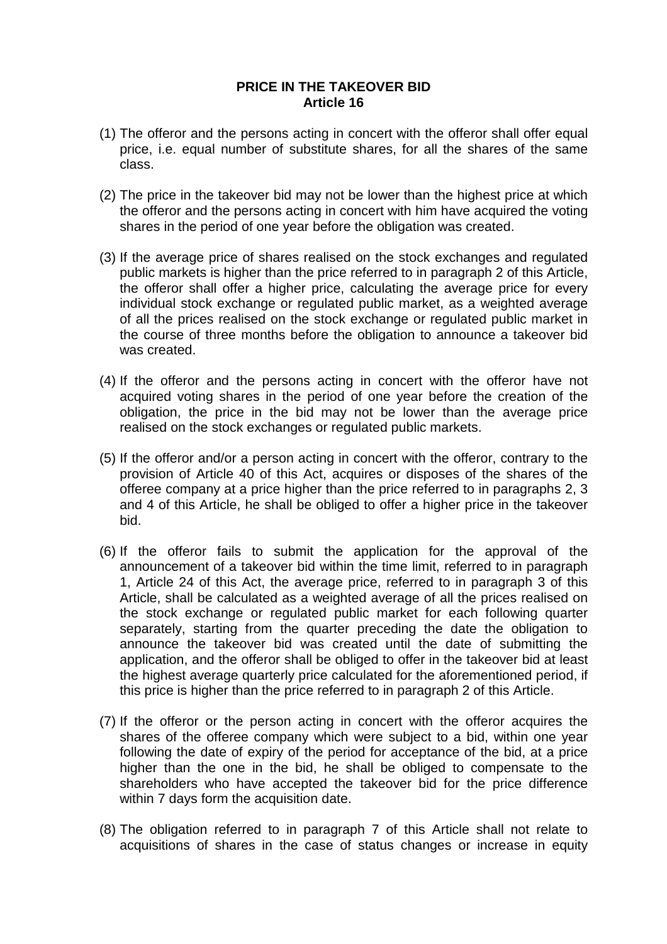#### **PRICE IN THE TAKEOVER BID Article 16**

- (1) The offeror and the persons acting in concert with the offeror shall offer equal price, i.e. equal number of substitute shares, for all the shares of the same class.
- (2) The price in the takeover bid may not be lower than the highest price at which the offeror and the persons acting in concert with him have acquired the voting shares in the period of one year before the obligation was created.
- (3) If the average price of shares realised on the stock exchanges and regulated public markets is higher than the price referred to in paragraph 2 of this Article, the offeror shall offer a higher price, calculating the average price for every individual stock exchange or regulated public market, as a weighted average of all the prices realised on the stock exchange or regulated public market in the course of three months before the obligation to announce a takeover bid was created.
- (4) If the offeror and the persons acting in concert with the offeror have not acquired voting shares in the period of one year before the creation of the obligation, the price in the bid may not be lower than the average price realised on the stock exchanges or regulated public markets.
- (5) If the offeror and/or a person acting in concert with the offeror, contrary to the provision of Article 40 of this Act, acquires or disposes of the shares of the offeree company at a price higher than the price referred to in paragraphs 2, 3 and 4 of this Article, he shall be obliged to offer a higher price in the takeover bid.
- (6) If the offeror fails to submit the application for the approval of the announcement of a takeover bid within the time limit, referred to in paragraph 1, Article 24 of this Act, the average price, referred to in paragraph 3 of this Article, shall be calculated as a weighted average of all the prices realised on the stock exchange or regulated public market for each following quarter separately, starting from the quarter preceding the date the obligation to announce the takeover bid was created until the date of submitting the application, and the offeror shall be obliged to offer in the takeover bid at least the highest average quarterly price calculated for the aforementioned period, if this price is higher than the price referred to in paragraph 2 of this Article.
- (7) If the offeror or the person acting in concert with the offeror acquires the shares of the offeree company which were subject to a bid, within one year following the date of expiry of the period for acceptance of the bid, at a price higher than the one in the bid, he shall be obliged to compensate to the shareholders who have accepted the takeover bid for the price difference within 7 days form the acquisition date.
- (8) The obligation referred to in paragraph 7 of this Article shall not relate to acquisitions of shares in the case of status changes or increase in equity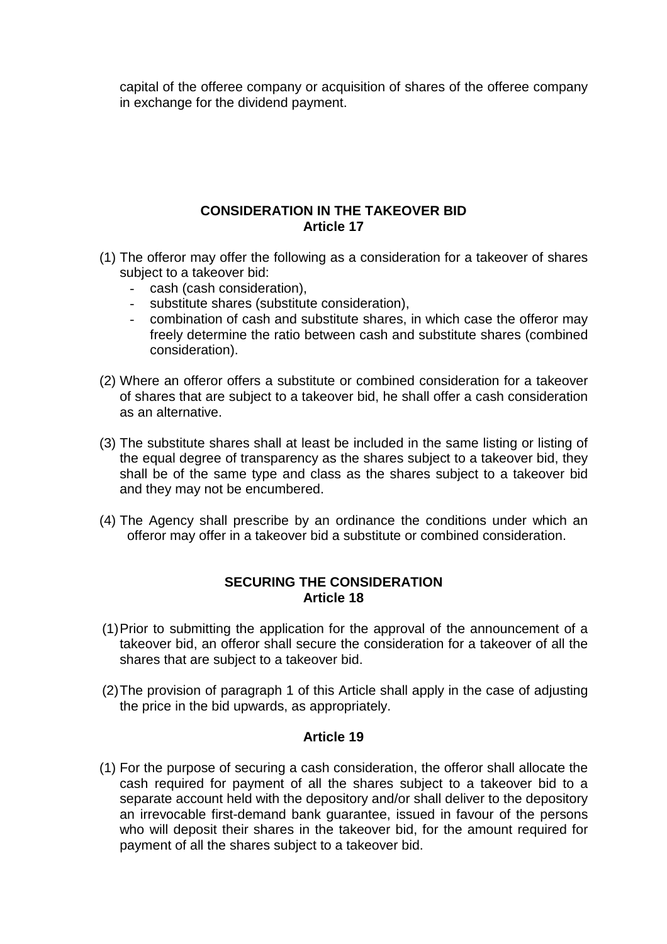capital of the offeree company or acquisition of shares of the offeree company in exchange for the dividend payment.

#### **CONSIDERATION IN THE TAKEOVER BID Article 17**

- (1) The offeror may offer the following as a consideration for a takeover of shares subject to a takeover bid:
	- cash (cash consideration),
	- substitute shares (substitute consideration),
	- combination of cash and substitute shares, in which case the offeror may freely determine the ratio between cash and substitute shares (combined consideration).
- (2) Where an offeror offers a substitute or combined consideration for a takeover of shares that are subject to a takeover bid, he shall offer a cash consideration as an alternative.
- (3) The substitute shares shall at least be included in the same listing or listing of the equal degree of transparency as the shares subject to a takeover bid, they shall be of the same type and class as the shares subject to a takeover bid and they may not be encumbered.
- (4) The Agency shall prescribe by an ordinance the conditions under which an offeror may offer in a takeover bid a substitute or combined consideration.

#### **SECURING THE CONSIDERATION Article 18**

- (1) Prior to submitting the application for the approval of the announcement of a takeover bid, an offeror shall secure the consideration for a takeover of all the shares that are subject to a takeover bid.
- (2) The provision of paragraph 1 of this Article shall apply in the case of adjusting the price in the bid upwards, as appropriately.

#### **Article 19**

(1) For the purpose of securing a cash consideration, the offeror shall allocate the cash required for payment of all the shares subject to a takeover bid to a separate account held with the depository and/or shall deliver to the depository an irrevocable first-demand bank guarantee, issued in favour of the persons who will deposit their shares in the takeover bid, for the amount required for payment of all the shares subject to a takeover bid.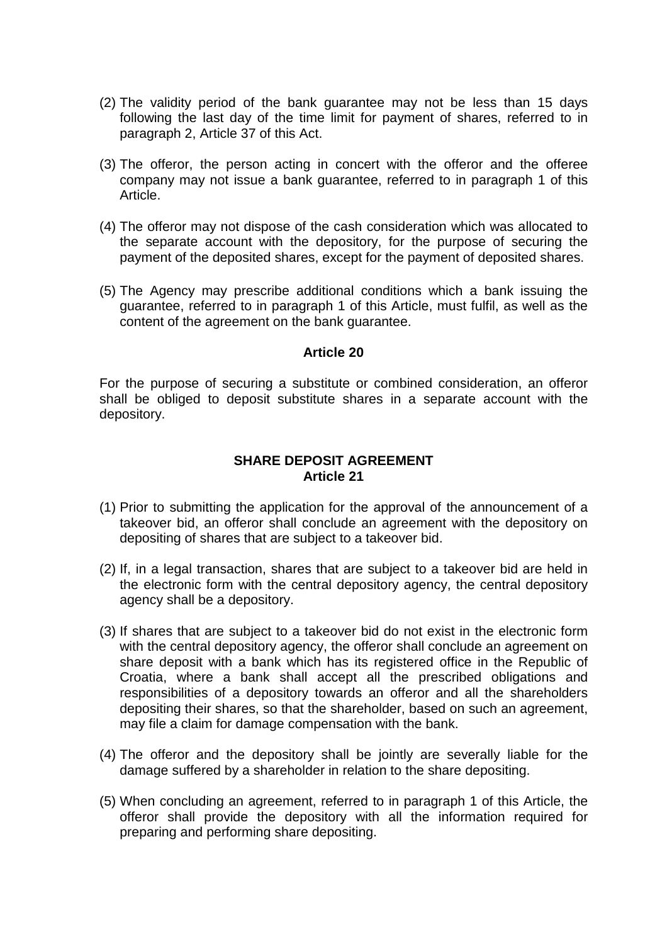- (2) The validity period of the bank guarantee may not be less than 15 days following the last day of the time limit for payment of shares, referred to in paragraph 2, Article 37 of this Act.
- (3) The offeror, the person acting in concert with the offeror and the offeree company may not issue a bank guarantee, referred to in paragraph 1 of this Article.
- (4) The offeror may not dispose of the cash consideration which was allocated to the separate account with the depository, for the purpose of securing the payment of the deposited shares, except for the payment of deposited shares.
- (5) The Agency may prescribe additional conditions which a bank issuing the guarantee, referred to in paragraph 1 of this Article, must fulfil, as well as the content of the agreement on the bank guarantee.

For the purpose of securing a substitute or combined consideration, an offeror shall be obliged to deposit substitute shares in a separate account with the depository.

#### **SHARE DEPOSIT AGREEMENT Article 21**

- (1) Prior to submitting the application for the approval of the announcement of a takeover bid, an offeror shall conclude an agreement with the depository on depositing of shares that are subject to a takeover bid.
- (2) If, in a legal transaction, shares that are subject to a takeover bid are held in the electronic form with the central depository agency, the central depository agency shall be a depository.
- (3) If shares that are subject to a takeover bid do not exist in the electronic form with the central depository agency, the offeror shall conclude an agreement on share deposit with a bank which has its registered office in the Republic of Croatia, where a bank shall accept all the prescribed obligations and responsibilities of a depository towards an offeror and all the shareholders depositing their shares, so that the shareholder, based on such an agreement, may file a claim for damage compensation with the bank.
- (4) The offeror and the depository shall be jointly are severally liable for the damage suffered by a shareholder in relation to the share depositing.
- (5) When concluding an agreement, referred to in paragraph 1 of this Article, the offeror shall provide the depository with all the information required for preparing and performing share depositing.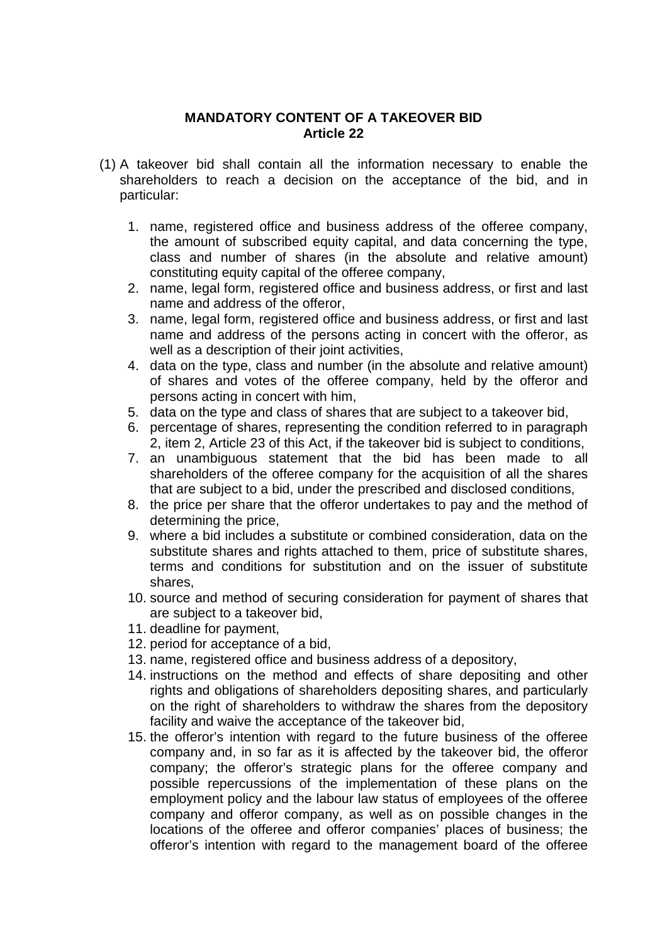#### **MANDATORY CONTENT OF A TAKEOVER BID Article 22**

- (1) A takeover bid shall contain all the information necessary to enable the shareholders to reach a decision on the acceptance of the bid, and in particular:
	- 1. name, registered office and business address of the offeree company, the amount of subscribed equity capital, and data concerning the type, class and number of shares (in the absolute and relative amount) constituting equity capital of the offeree company,
	- 2. name, legal form, registered office and business address, or first and last name and address of the offeror,
	- 3. name, legal form, registered office and business address, or first and last name and address of the persons acting in concert with the offeror, as well as a description of their joint activities,
	- 4. data on the type, class and number (in the absolute and relative amount) of shares and votes of the offeree company, held by the offeror and persons acting in concert with him,
	- 5. data on the type and class of shares that are subject to a takeover bid,
	- 6. percentage of shares, representing the condition referred to in paragraph 2, item 2, Article 23 of this Act, if the takeover bid is subject to conditions,
	- 7. an unambiguous statement that the bid has been made to all shareholders of the offeree company for the acquisition of all the shares that are subject to a bid, under the prescribed and disclosed conditions,
	- 8. the price per share that the offeror undertakes to pay and the method of determining the price,
	- 9. where a bid includes a substitute or combined consideration, data on the substitute shares and rights attached to them, price of substitute shares, terms and conditions for substitution and on the issuer of substitute shares,
	- 10. source and method of securing consideration for payment of shares that are subject to a takeover bid,
	- 11. deadline for payment,
	- 12. period for acceptance of a bid,
	- 13. name, registered office and business address of a depository,
	- 14. instructions on the method and effects of share depositing and other rights and obligations of shareholders depositing shares, and particularly on the right of shareholders to withdraw the shares from the depository facility and waive the acceptance of the takeover bid,
	- 15. the offeror's intention with regard to the future business of the offeree company and, in so far as it is affected by the takeover bid, the offeror company; the offeror's strategic plans for the offeree company and possible repercussions of the implementation of these plans on the employment policy and the labour law status of employees of the offeree company and offeror company, as well as on possible changes in the locations of the offeree and offeror companies' places of business; the offeror's intention with regard to the management board of the offeree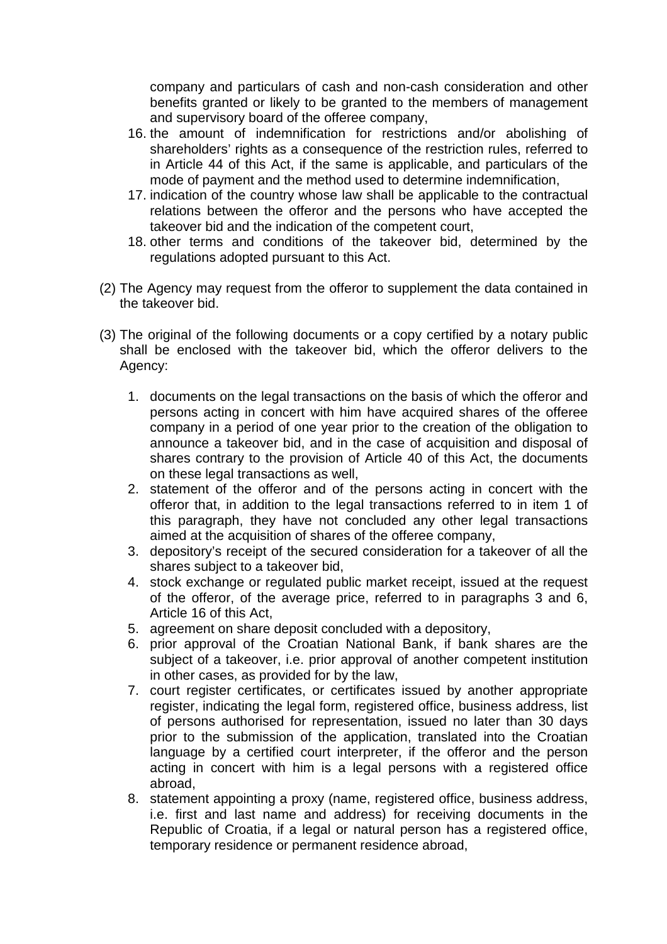company and particulars of cash and non-cash consideration and other benefits granted or likely to be granted to the members of management and supervisory board of the offeree company,

- 16. the amount of indemnification for restrictions and/or abolishing of shareholders' rights as a consequence of the restriction rules, referred to in Article 44 of this Act, if the same is applicable, and particulars of the mode of payment and the method used to determine indemnification,
- 17. indication of the country whose law shall be applicable to the contractual relations between the offeror and the persons who have accepted the takeover bid and the indication of the competent court,
- 18. other terms and conditions of the takeover bid, determined by the regulations adopted pursuant to this Act.
- (2) The Agency may request from the offeror to supplement the data contained in the takeover bid.
- (3) The original of the following documents or a copy certified by a notary public shall be enclosed with the takeover bid, which the offeror delivers to the Agency:
	- 1. documents on the legal transactions on the basis of which the offeror and persons acting in concert with him have acquired shares of the offeree company in a period of one year prior to the creation of the obligation to announce a takeover bid, and in the case of acquisition and disposal of shares contrary to the provision of Article 40 of this Act, the documents on these legal transactions as well,
	- 2. statement of the offeror and of the persons acting in concert with the offeror that, in addition to the legal transactions referred to in item 1 of this paragraph, they have not concluded any other legal transactions aimed at the acquisition of shares of the offeree company,
	- 3. depository's receipt of the secured consideration for a takeover of all the shares subject to a takeover bid,
	- 4. stock exchange or regulated public market receipt, issued at the request of the offeror, of the average price, referred to in paragraphs 3 and 6, Article 16 of this Act,
	- 5. agreement on share deposit concluded with a depository,
	- 6. prior approval of the Croatian National Bank, if bank shares are the subject of a takeover, i.e. prior approval of another competent institution in other cases, as provided for by the law,
	- 7. court register certificates, or certificates issued by another appropriate register, indicating the legal form, registered office, business address, list of persons authorised for representation, issued no later than 30 days prior to the submission of the application, translated into the Croatian language by a certified court interpreter, if the offeror and the person acting in concert with him is a legal persons with a registered office abroad,
	- 8. statement appointing a proxy (name, registered office, business address, i.e. first and last name and address) for receiving documents in the Republic of Croatia, if a legal or natural person has a registered office, temporary residence or permanent residence abroad,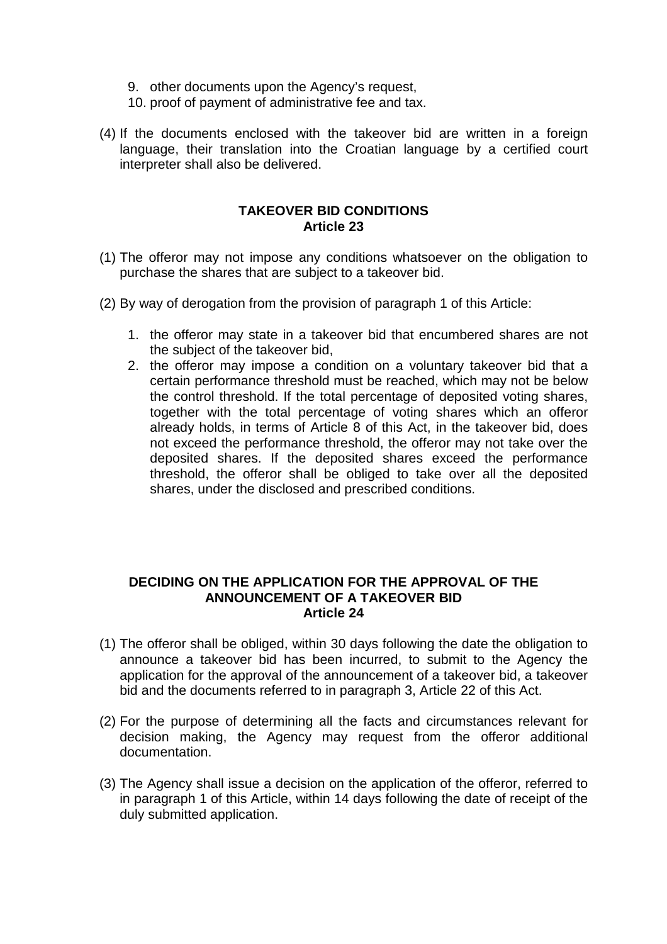- 9. other documents upon the Agency's request,
- 10. proof of payment of administrative fee and tax.
- (4) If the documents enclosed with the takeover bid are written in a foreign language, their translation into the Croatian language by a certified court interpreter shall also be delivered.

#### **TAKEOVER BID CONDITIONS Article 23**

- (1) The offeror may not impose any conditions whatsoever on the obligation to purchase the shares that are subject to a takeover bid.
- (2) By way of derogation from the provision of paragraph 1 of this Article:
	- 1. the offeror may state in a takeover bid that encumbered shares are not the subject of the takeover bid,
	- 2. the offeror may impose a condition on a voluntary takeover bid that a certain performance threshold must be reached, which may not be below the control threshold. If the total percentage of deposited voting shares, together with the total percentage of voting shares which an offeror already holds, in terms of Article 8 of this Act, in the takeover bid, does not exceed the performance threshold, the offeror may not take over the deposited shares. If the deposited shares exceed the performance threshold, the offeror shall be obliged to take over all the deposited shares, under the disclosed and prescribed conditions.

#### **DECIDING ON THE APPLICATION FOR THE APPROVAL OF THE ANNOUNCEMENT OF A TAKEOVER BID Article 24**

- (1) The offeror shall be obliged, within 30 days following the date the obligation to announce a takeover bid has been incurred, to submit to the Agency the application for the approval of the announcement of a takeover bid, a takeover bid and the documents referred to in paragraph 3, Article 22 of this Act.
- (2) For the purpose of determining all the facts and circumstances relevant for decision making, the Agency may request from the offeror additional documentation.
- (3) The Agency shall issue a decision on the application of the offeror, referred to in paragraph 1 of this Article, within 14 days following the date of receipt of the duly submitted application.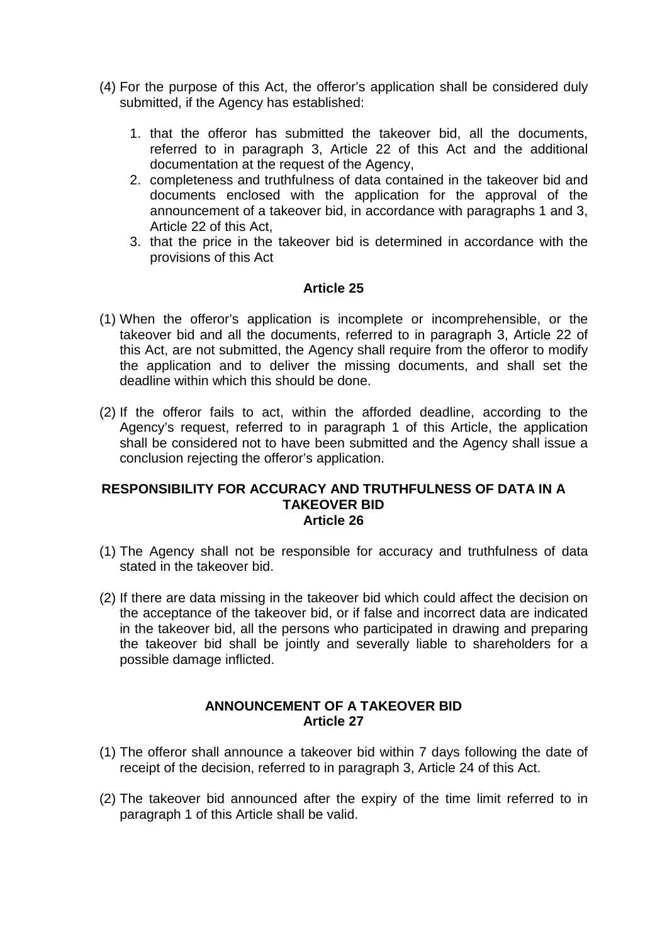- (4) For the purpose of this Act, the offeror's application shall be considered duly submitted, if the Agency has established:
	- 1. that the offeror has submitted the takeover bid, all the documents, referred to in paragraph 3, Article 22 of this Act and the additional documentation at the request of the Agency,
	- 2. completeness and truthfulness of data contained in the takeover bid and documents enclosed with the application for the approval of the announcement of a takeover bid, in accordance with paragraphs 1 and 3, Article 22 of this Act,
	- 3. that the price in the takeover bid is determined in accordance with the provisions of this Act

- (1) When the offeror's application is incomplete or incomprehensible, or the takeover bid and all the documents, referred to in paragraph 3, Article 22 of this Act, are not submitted, the Agency shall require from the offeror to modify the application and to deliver the missing documents, and shall set the deadline within which this should be done.
- (2) If the offeror fails to act, within the afforded deadline, according to the Agency's request, referred to in paragraph 1 of this Article, the application shall be considered not to have been submitted and the Agency shall issue a conclusion rejecting the offeror's application.

#### **RESPONSIBILITY FOR ACCURACY AND TRUTHFULNESS OF DATA IN A TAKEOVER BID Article 26**

- (1) The Agency shall not be responsible for accuracy and truthfulness of data stated in the takeover bid.
- (2) If there are data missing in the takeover bid which could affect the decision on the acceptance of the takeover bid, or if false and incorrect data are indicated in the takeover bid, all the persons who participated in drawing and preparing the takeover bid shall be jointly and severally liable to shareholders for a possible damage inflicted.

#### **ANNOUNCEMENT OF A TAKEOVER BID Article 27**

- (1) The offeror shall announce a takeover bid within 7 days following the date of receipt of the decision, referred to in paragraph 3, Article 24 of this Act.
- (2) The takeover bid announced after the expiry of the time limit referred to in paragraph 1 of this Article shall be valid.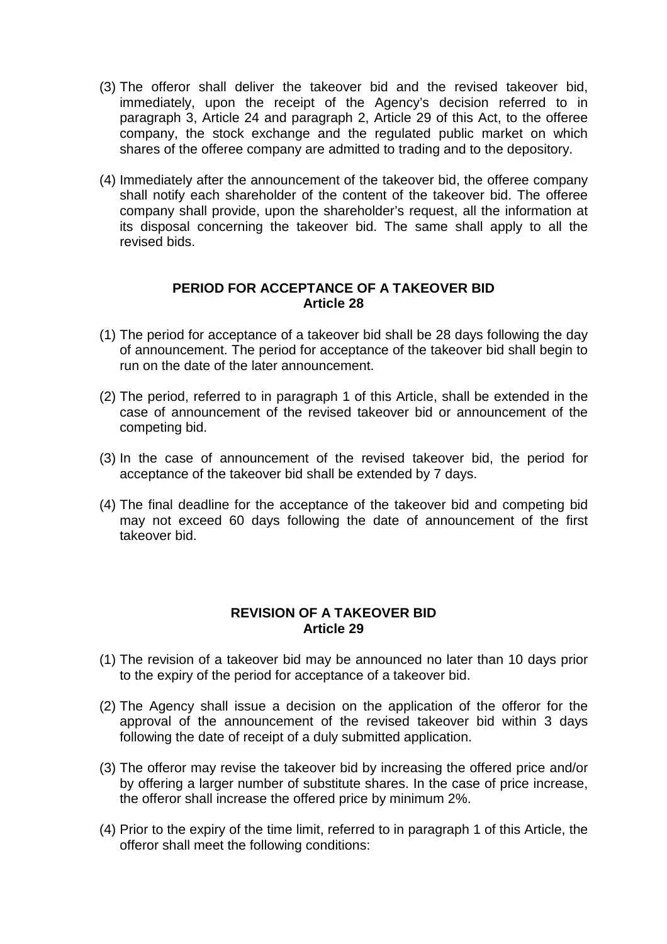- (3) The offeror shall deliver the takeover bid and the revised takeover bid, immediately, upon the receipt of the Agency's decision referred to in paragraph 3, Article 24 and paragraph 2, Article 29 of this Act, to the offeree company, the stock exchange and the regulated public market on which shares of the offeree company are admitted to trading and to the depository.
- (4) Immediately after the announcement of the takeover bid, the offeree company shall notify each shareholder of the content of the takeover bid. The offeree company shall provide, upon the shareholder's request, all the information at its disposal concerning the takeover bid. The same shall apply to all the revised bids.

#### **PERIOD FOR ACCEPTANCE OF A TAKEOVER BID Article 28**

- (1) The period for acceptance of a takeover bid shall be 28 days following the day of announcement. The period for acceptance of the takeover bid shall begin to run on the date of the later announcement.
- (2) The period, referred to in paragraph 1 of this Article, shall be extended in the case of announcement of the revised takeover bid or announcement of the competing bid.
- (3) In the case of announcement of the revised takeover bid, the period for acceptance of the takeover bid shall be extended by 7 days.
- (4) The final deadline for the acceptance of the takeover bid and competing bid may not exceed 60 days following the date of announcement of the first takeover bid.

#### **REVISION OF A TAKEOVER BID Article 29**

- (1) The revision of a takeover bid may be announced no later than 10 days prior to the expiry of the period for acceptance of a takeover bid.
- (2) The Agency shall issue a decision on the application of the offeror for the approval of the announcement of the revised takeover bid within 3 days following the date of receipt of a duly submitted application.
- (3) The offeror may revise the takeover bid by increasing the offered price and/or by offering a larger number of substitute shares. In the case of price increase, the offeror shall increase the offered price by minimum 2%.
- (4) Prior to the expiry of the time limit, referred to in paragraph 1 of this Article, the offeror shall meet the following conditions: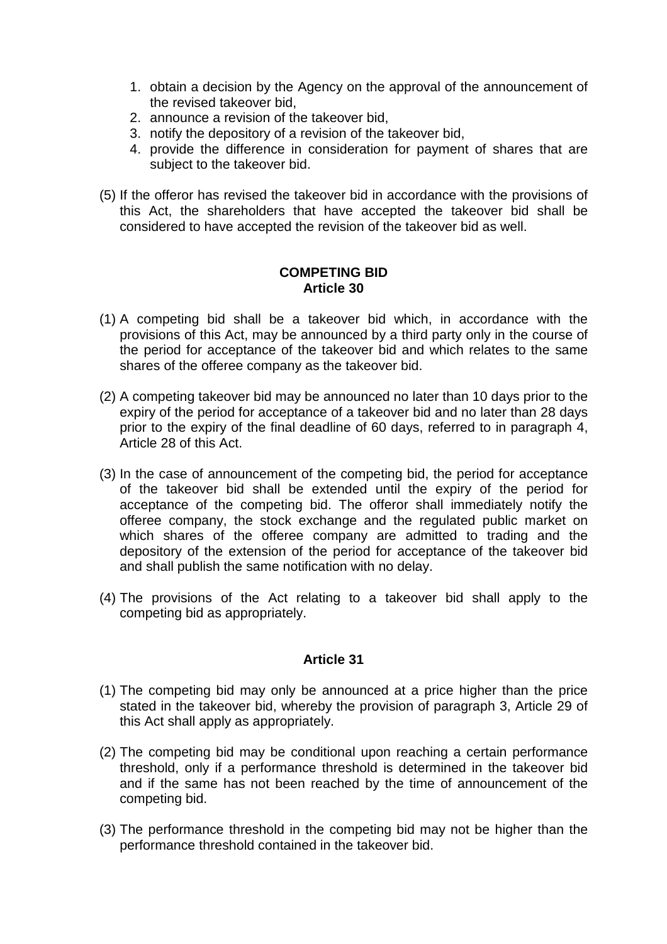- 1. obtain a decision by the Agency on the approval of the announcement of the revised takeover bid,
- 2. announce a revision of the takeover bid,
- 3. notify the depository of a revision of the takeover bid,
- 4. provide the difference in consideration for payment of shares that are subject to the takeover bid.
- (5) If the offeror has revised the takeover bid in accordance with the provisions of this Act, the shareholders that have accepted the takeover bid shall be considered to have accepted the revision of the takeover bid as well.

#### **COMPETING BID Article 30**

- (1) A competing bid shall be a takeover bid which, in accordance with the provisions of this Act, may be announced by a third party only in the course of the period for acceptance of the takeover bid and which relates to the same shares of the offeree company as the takeover bid.
- (2) A competing takeover bid may be announced no later than 10 days prior to the expiry of the period for acceptance of a takeover bid and no later than 28 days prior to the expiry of the final deadline of 60 days, referred to in paragraph 4, Article 28 of this Act.
- (3) In the case of announcement of the competing bid, the period for acceptance of the takeover bid shall be extended until the expiry of the period for acceptance of the competing bid. The offeror shall immediately notify the offeree company, the stock exchange and the regulated public market on which shares of the offeree company are admitted to trading and the depository of the extension of the period for acceptance of the takeover bid and shall publish the same notification with no delay.
- (4) The provisions of the Act relating to a takeover bid shall apply to the competing bid as appropriately.

#### **Article 31**

- (1) The competing bid may only be announced at a price higher than the price stated in the takeover bid, whereby the provision of paragraph 3, Article 29 of this Act shall apply as appropriately.
- (2) The competing bid may be conditional upon reaching a certain performance threshold, only if a performance threshold is determined in the takeover bid and if the same has not been reached by the time of announcement of the competing bid.
- (3) The performance threshold in the competing bid may not be higher than the performance threshold contained in the takeover bid.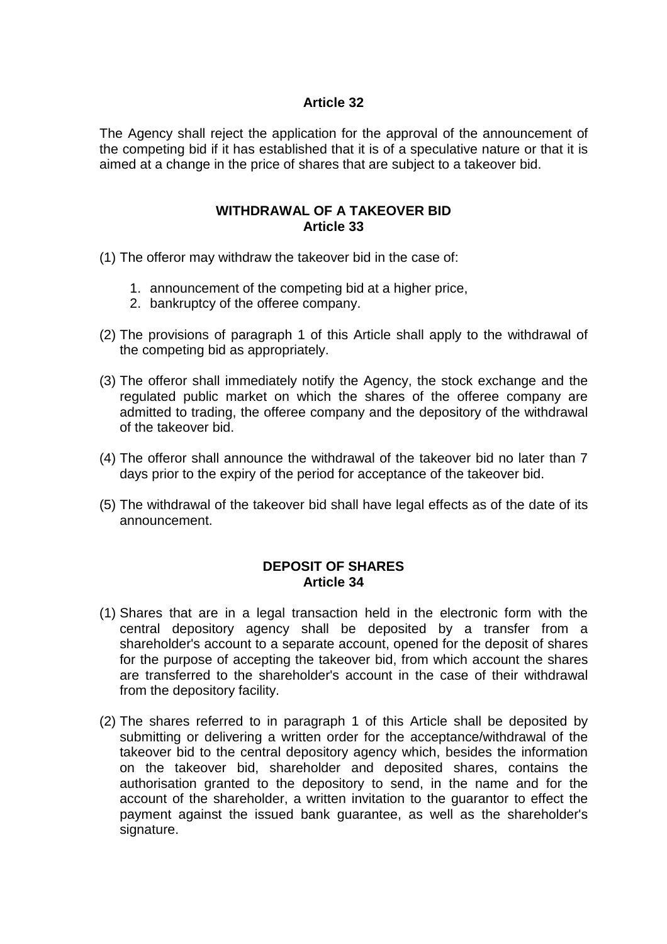The Agency shall reject the application for the approval of the announcement of the competing bid if it has established that it is of a speculative nature or that it is aimed at a change in the price of shares that are subject to a takeover bid.

#### **WITHDRAWAL OF A TAKEOVER BID Article 33**

- (1) The offeror may withdraw the takeover bid in the case of:
	- 1. announcement of the competing bid at a higher price,
	- 2. bankruptcy of the offeree company.
- (2) The provisions of paragraph 1 of this Article shall apply to the withdrawal of the competing bid as appropriately.
- (3) The offeror shall immediately notify the Agency, the stock exchange and the regulated public market on which the shares of the offeree company are admitted to trading, the offeree company and the depository of the withdrawal of the takeover bid.
- (4) The offeror shall announce the withdrawal of the takeover bid no later than 7 days prior to the expiry of the period for acceptance of the takeover bid.
- (5) The withdrawal of the takeover bid shall have legal effects as of the date of its announcement.

#### **DEPOSIT OF SHARES Article 34**

- (1) Shares that are in a legal transaction held in the electronic form with the central depository agency shall be deposited by a transfer from a shareholder's account to a separate account, opened for the deposit of shares for the purpose of accepting the takeover bid, from which account the shares are transferred to the shareholder's account in the case of their withdrawal from the depository facility.
- (2) The shares referred to in paragraph 1 of this Article shall be deposited by submitting or delivering a written order for the acceptance/withdrawal of the takeover bid to the central depository agency which, besides the information on the takeover bid, shareholder and deposited shares, contains the authorisation granted to the depository to send, in the name and for the account of the shareholder, a written invitation to the guarantor to effect the payment against the issued bank guarantee, as well as the shareholder's signature.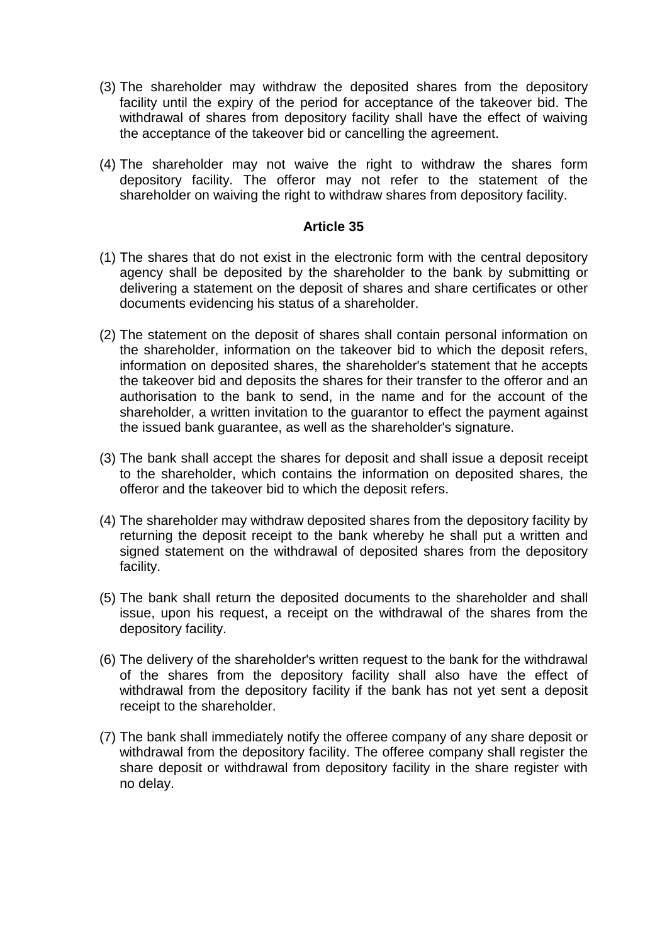- (3) The shareholder may withdraw the deposited shares from the depository facility until the expiry of the period for acceptance of the takeover bid. The withdrawal of shares from depository facility shall have the effect of waiving the acceptance of the takeover bid or cancelling the agreement.
- (4) The shareholder may not waive the right to withdraw the shares form depository facility. The offeror may not refer to the statement of the shareholder on waiving the right to withdraw shares from depository facility.

- (1) The shares that do not exist in the electronic form with the central depository agency shall be deposited by the shareholder to the bank by submitting or delivering a statement on the deposit of shares and share certificates or other documents evidencing his status of a shareholder.
- (2) The statement on the deposit of shares shall contain personal information on the shareholder, information on the takeover bid to which the deposit refers, information on deposited shares, the shareholder's statement that he accepts the takeover bid and deposits the shares for their transfer to the offeror and an authorisation to the bank to send, in the name and for the account of the shareholder, a written invitation to the guarantor to effect the payment against the issued bank guarantee, as well as the shareholder's signature.
- (3) The bank shall accept the shares for deposit and shall issue a deposit receipt to the shareholder, which contains the information on deposited shares, the offeror and the takeover bid to which the deposit refers.
- (4) The shareholder may withdraw deposited shares from the depository facility by returning the deposit receipt to the bank whereby he shall put a written and signed statement on the withdrawal of deposited shares from the depository facility.
- (5) The bank shall return the deposited documents to the shareholder and shall issue, upon his request, a receipt on the withdrawal of the shares from the depository facility.
- (6) The delivery of the shareholder's written request to the bank for the withdrawal of the shares from the depository facility shall also have the effect of withdrawal from the depository facility if the bank has not yet sent a deposit receipt to the shareholder.
- (7) The bank shall immediately notify the offeree company of any share deposit or withdrawal from the depository facility. The offeree company shall register the share deposit or withdrawal from depository facility in the share register with no delay.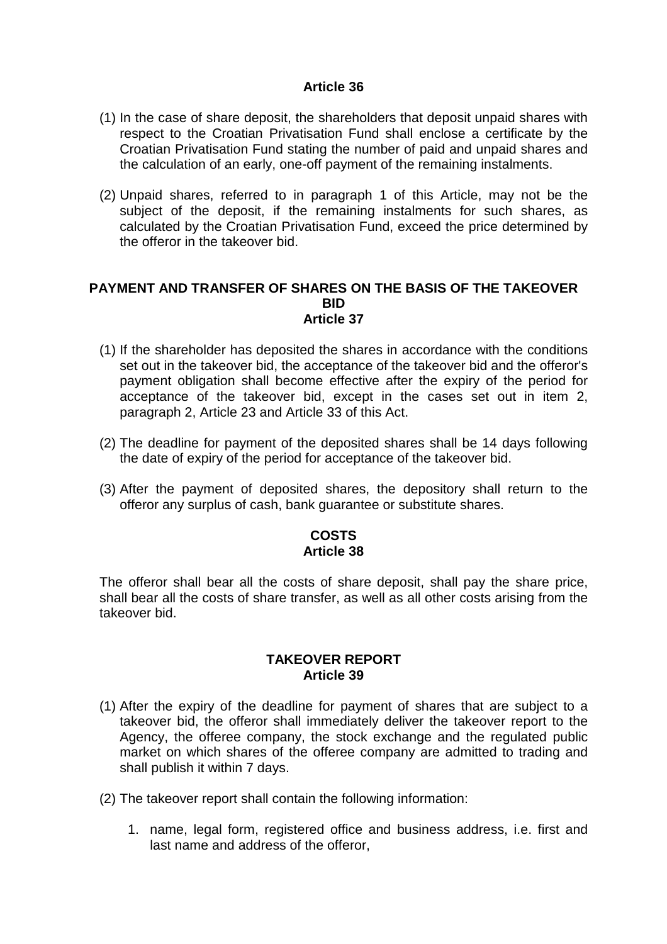- (1) In the case of share deposit, the shareholders that deposit unpaid shares with respect to the Croatian Privatisation Fund shall enclose a certificate by the Croatian Privatisation Fund stating the number of paid and unpaid shares and the calculation of an early, one-off payment of the remaining instalments.
- (2) Unpaid shares, referred to in paragraph 1 of this Article, may not be the subject of the deposit, if the remaining instalments for such shares, as calculated by the Croatian Privatisation Fund, exceed the price determined by the offeror in the takeover bid.

#### **PAYMENT AND TRANSFER OF SHARES ON THE BASIS OF THE TAKEOVER BID Article 37**

- (1) If the shareholder has deposited the shares in accordance with the conditions set out in the takeover bid, the acceptance of the takeover bid and the offeror's payment obligation shall become effective after the expiry of the period for acceptance of the takeover bid, except in the cases set out in item 2, paragraph 2, Article 23 and Article 33 of this Act.
- (2) The deadline for payment of the deposited shares shall be 14 days following the date of expiry of the period for acceptance of the takeover bid.
- (3) After the payment of deposited shares, the depository shall return to the offeror any surplus of cash, bank guarantee or substitute shares.

#### **COSTS Article 38**

The offeror shall bear all the costs of share deposit, shall pay the share price, shall bear all the costs of share transfer, as well as all other costs arising from the takeover bid.

#### **TAKEOVER REPORT Article 39**

- (1) After the expiry of the deadline for payment of shares that are subject to a takeover bid, the offeror shall immediately deliver the takeover report to the Agency, the offeree company, the stock exchange and the regulated public market on which shares of the offeree company are admitted to trading and shall publish it within 7 days.
- (2) The takeover report shall contain the following information:
	- 1. name, legal form, registered office and business address, i.e. first and last name and address of the offeror,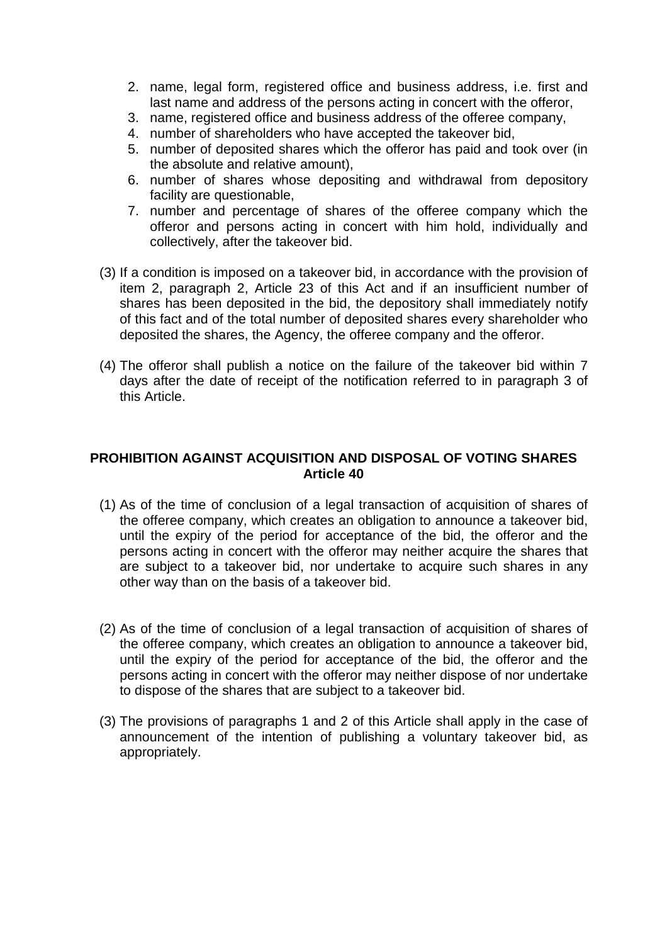- 2. name, legal form, registered office and business address, i.e. first and last name and address of the persons acting in concert with the offeror,
- 3. name, registered office and business address of the offeree company,
- 4. number of shareholders who have accepted the takeover bid,
- 5. number of deposited shares which the offeror has paid and took over (in the absolute and relative amount),
- 6. number of shares whose depositing and withdrawal from depository facility are questionable,
- 7. number and percentage of shares of the offeree company which the offeror and persons acting in concert with him hold, individually and collectively, after the takeover bid.
- (3) If a condition is imposed on a takeover bid, in accordance with the provision of item 2, paragraph 2, Article 23 of this Act and if an insufficient number of shares has been deposited in the bid, the depository shall immediately notify of this fact and of the total number of deposited shares every shareholder who deposited the shares, the Agency, the offeree company and the offeror.
- (4) The offeror shall publish a notice on the failure of the takeover bid within 7 days after the date of receipt of the notification referred to in paragraph 3 of this Article.

#### **PROHIBITION AGAINST ACQUISITION AND DISPOSAL OF VOTING SHARES Article 40**

- (1) As of the time of conclusion of a legal transaction of acquisition of shares of the offeree company, which creates an obligation to announce a takeover bid, until the expiry of the period for acceptance of the bid, the offeror and the persons acting in concert with the offeror may neither acquire the shares that are subject to a takeover bid, nor undertake to acquire such shares in any other way than on the basis of a takeover bid.
- (2) As of the time of conclusion of a legal transaction of acquisition of shares of the offeree company, which creates an obligation to announce a takeover bid, until the expiry of the period for acceptance of the bid, the offeror and the persons acting in concert with the offeror may neither dispose of nor undertake to dispose of the shares that are subject to a takeover bid.
- (3) The provisions of paragraphs 1 and 2 of this Article shall apply in the case of announcement of the intention of publishing a voluntary takeover bid, as appropriately.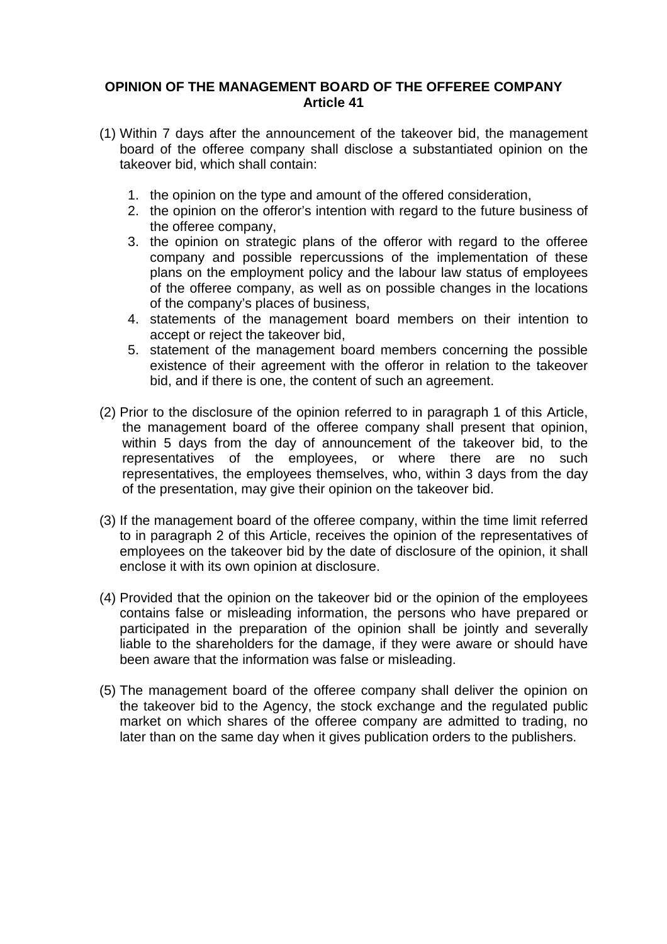#### **OPINION OF THE MANAGEMENT BOARD OF THE OFFEREE COMPANY Article 41**

- (1) Within 7 days after the announcement of the takeover bid, the management board of the offeree company shall disclose a substantiated opinion on the takeover bid, which shall contain:
	- 1. the opinion on the type and amount of the offered consideration,
	- 2. the opinion on the offeror's intention with regard to the future business of the offeree company,
	- 3. the opinion on strategic plans of the offeror with regard to the offeree company and possible repercussions of the implementation of these plans on the employment policy and the labour law status of employees of the offeree company, as well as on possible changes in the locations of the company's places of business,
	- 4. statements of the management board members on their intention to accept or reject the takeover bid,
	- 5. statement of the management board members concerning the possible existence of their agreement with the offeror in relation to the takeover bid, and if there is one, the content of such an agreement.
- (2) Prior to the disclosure of the opinion referred to in paragraph 1 of this Article, the management board of the offeree company shall present that opinion, within 5 days from the day of announcement of the takeover bid, to the representatives of the employees, or where there are no such representatives, the employees themselves, who, within 3 days from the day of the presentation, may give their opinion on the takeover bid.
- (3) If the management board of the offeree company, within the time limit referred to in paragraph 2 of this Article, receives the opinion of the representatives of employees on the takeover bid by the date of disclosure of the opinion, it shall enclose it with its own opinion at disclosure.
- (4) Provided that the opinion on the takeover bid or the opinion of the employees contains false or misleading information, the persons who have prepared or participated in the preparation of the opinion shall be jointly and severally liable to the shareholders for the damage, if they were aware or should have been aware that the information was false or misleading.
- (5) The management board of the offeree company shall deliver the opinion on the takeover bid to the Agency, the stock exchange and the regulated public market on which shares of the offeree company are admitted to trading, no later than on the same day when it gives publication orders to the publishers.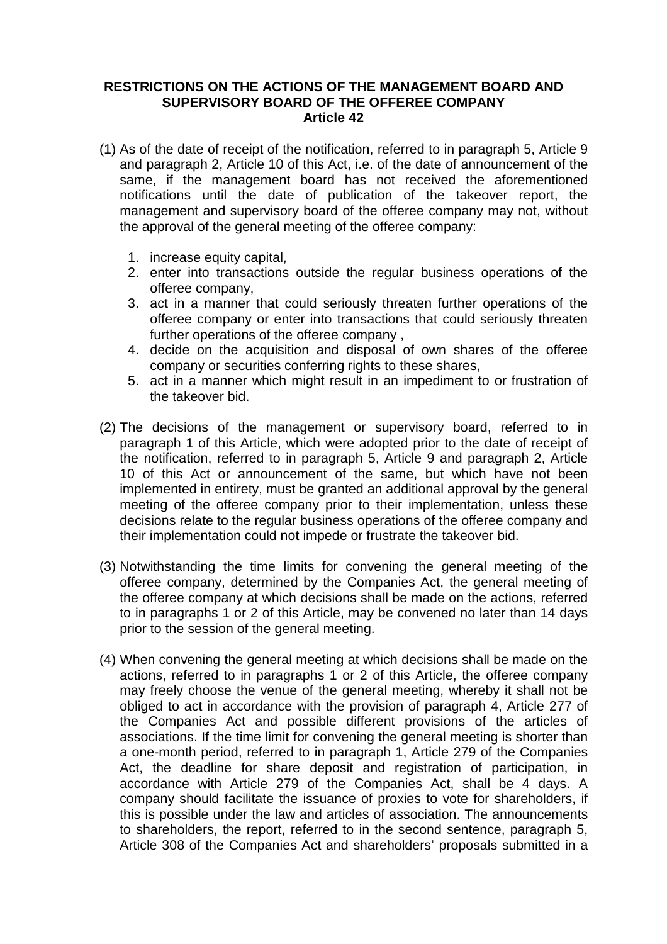#### **RESTRICTIONS ON THE ACTIONS OF THE MANAGEMENT BOARD AND SUPERVISORY BOARD OF THE OFFEREE COMPANY Article 42**

- (1) As of the date of receipt of the notification, referred to in paragraph 5, Article 9 and paragraph 2, Article 10 of this Act, i.e. of the date of announcement of the same, if the management board has not received the aforementioned notifications until the date of publication of the takeover report, the management and supervisory board of the offeree company may not, without the approval of the general meeting of the offeree company:
	- 1. increase equity capital,
	- 2. enter into transactions outside the regular business operations of the offeree company,
	- 3. act in a manner that could seriously threaten further operations of the offeree company or enter into transactions that could seriously threaten further operations of the offeree company ,
	- 4. decide on the acquisition and disposal of own shares of the offeree company or securities conferring rights to these shares,
	- 5. act in a manner which might result in an impediment to or frustration of the takeover bid.
- (2) The decisions of the management or supervisory board, referred to in paragraph 1 of this Article, which were adopted prior to the date of receipt of the notification, referred to in paragraph 5, Article 9 and paragraph 2, Article 10 of this Act or announcement of the same, but which have not been implemented in entirety, must be granted an additional approval by the general meeting of the offeree company prior to their implementation, unless these decisions relate to the regular business operations of the offeree company and their implementation could not impede or frustrate the takeover bid.
- (3) Notwithstanding the time limits for convening the general meeting of the offeree company, determined by the Companies Act, the general meeting of the offeree company at which decisions shall be made on the actions, referred to in paragraphs 1 or 2 of this Article, may be convened no later than 14 days prior to the session of the general meeting.
- (4) When convening the general meeting at which decisions shall be made on the actions, referred to in paragraphs 1 or 2 of this Article, the offeree company may freely choose the venue of the general meeting, whereby it shall not be obliged to act in accordance with the provision of paragraph 4, Article 277 of the Companies Act and possible different provisions of the articles of associations. If the time limit for convening the general meeting is shorter than a one-month period, referred to in paragraph 1, Article 279 of the Companies Act, the deadline for share deposit and registration of participation, in accordance with Article 279 of the Companies Act, shall be 4 days. A company should facilitate the issuance of proxies to vote for shareholders, if this is possible under the law and articles of association. The announcements to shareholders, the report, referred to in the second sentence, paragraph 5, Article 308 of the Companies Act and shareholders' proposals submitted in a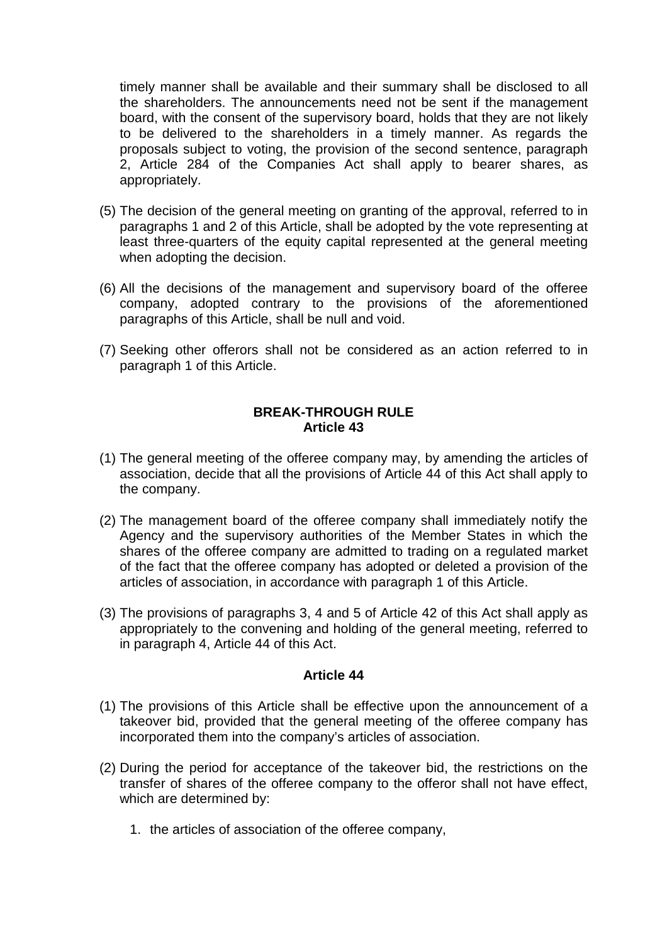timely manner shall be available and their summary shall be disclosed to all the shareholders. The announcements need not be sent if the management board, with the consent of the supervisory board, holds that they are not likely to be delivered to the shareholders in a timely manner. As regards the proposals subject to voting, the provision of the second sentence, paragraph 2, Article 284 of the Companies Act shall apply to bearer shares, as appropriately.

- (5) The decision of the general meeting on granting of the approval, referred to in paragraphs 1 and 2 of this Article, shall be adopted by the vote representing at least three-quarters of the equity capital represented at the general meeting when adopting the decision.
- (6) All the decisions of the management and supervisory board of the offeree company, adopted contrary to the provisions of the aforementioned paragraphs of this Article, shall be null and void.
- (7) Seeking other offerors shall not be considered as an action referred to in paragraph 1 of this Article.

#### **BREAK-THROUGH RULE Article 43**

- (1) The general meeting of the offeree company may, by amending the articles of association, decide that all the provisions of Article 44 of this Act shall apply to the company.
- (2) The management board of the offeree company shall immediately notify the Agency and the supervisory authorities of the Member States in which the shares of the offeree company are admitted to trading on a regulated market of the fact that the offeree company has adopted or deleted a provision of the articles of association, in accordance with paragraph 1 of this Article.
- (3) The provisions of paragraphs 3, 4 and 5 of Article 42 of this Act shall apply as appropriately to the convening and holding of the general meeting, referred to in paragraph 4, Article 44 of this Act.

#### **Article 44**

- (1) The provisions of this Article shall be effective upon the announcement of a takeover bid, provided that the general meeting of the offeree company has incorporated them into the company's articles of association.
- (2) During the period for acceptance of the takeover bid, the restrictions on the transfer of shares of the offeree company to the offeror shall not have effect, which are determined by:
	- 1. the articles of association of the offeree company,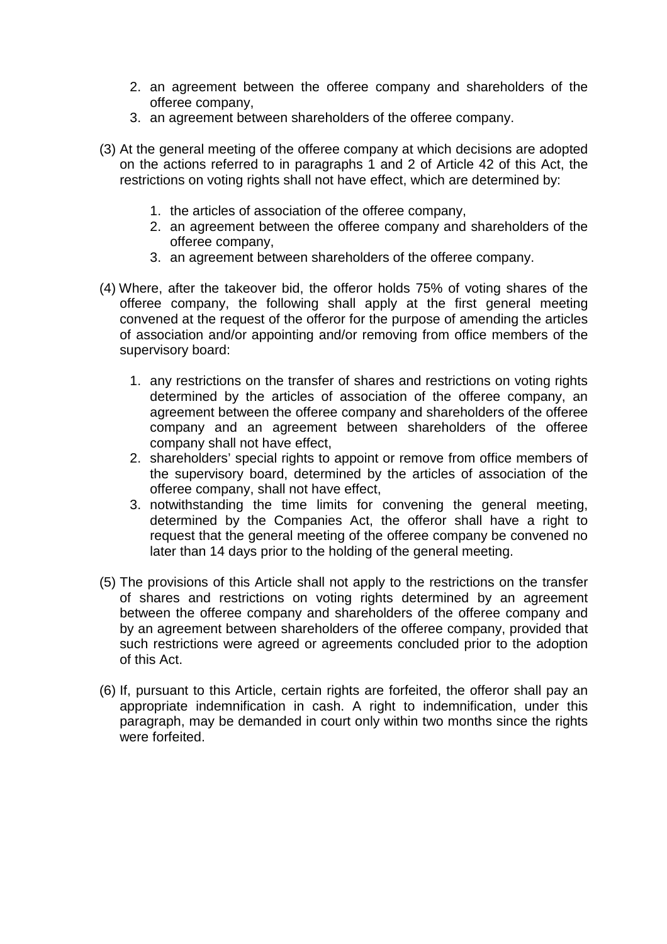- 2. an agreement between the offeree company and shareholders of the offeree company,
- 3. an agreement between shareholders of the offeree company.
- (3) At the general meeting of the offeree company at which decisions are adopted on the actions referred to in paragraphs 1 and 2 of Article 42 of this Act, the restrictions on voting rights shall not have effect, which are determined by:
	- 1. the articles of association of the offeree company,
	- 2. an agreement between the offeree company and shareholders of the offeree company,
	- 3. an agreement between shareholders of the offeree company.
- (4) Where, after the takeover bid, the offeror holds 75% of voting shares of the offeree company, the following shall apply at the first general meeting convened at the request of the offeror for the purpose of amending the articles of association and/or appointing and/or removing from office members of the supervisory board:
	- 1. any restrictions on the transfer of shares and restrictions on voting rights determined by the articles of association of the offeree company, an agreement between the offeree company and shareholders of the offeree company and an agreement between shareholders of the offeree company shall not have effect,
	- 2. shareholders' special rights to appoint or remove from office members of the supervisory board, determined by the articles of association of the offeree company, shall not have effect,
	- 3. notwithstanding the time limits for convening the general meeting, determined by the Companies Act, the offeror shall have a right to request that the general meeting of the offeree company be convened no later than 14 days prior to the holding of the general meeting.
- (5) The provisions of this Article shall not apply to the restrictions on the transfer of shares and restrictions on voting rights determined by an agreement between the offeree company and shareholders of the offeree company and by an agreement between shareholders of the offeree company, provided that such restrictions were agreed or agreements concluded prior to the adoption of this Act.
- (6) If, pursuant to this Article, certain rights are forfeited, the offeror shall pay an appropriate indemnification in cash. A right to indemnification, under this paragraph, may be demanded in court only within two months since the rights were forfeited.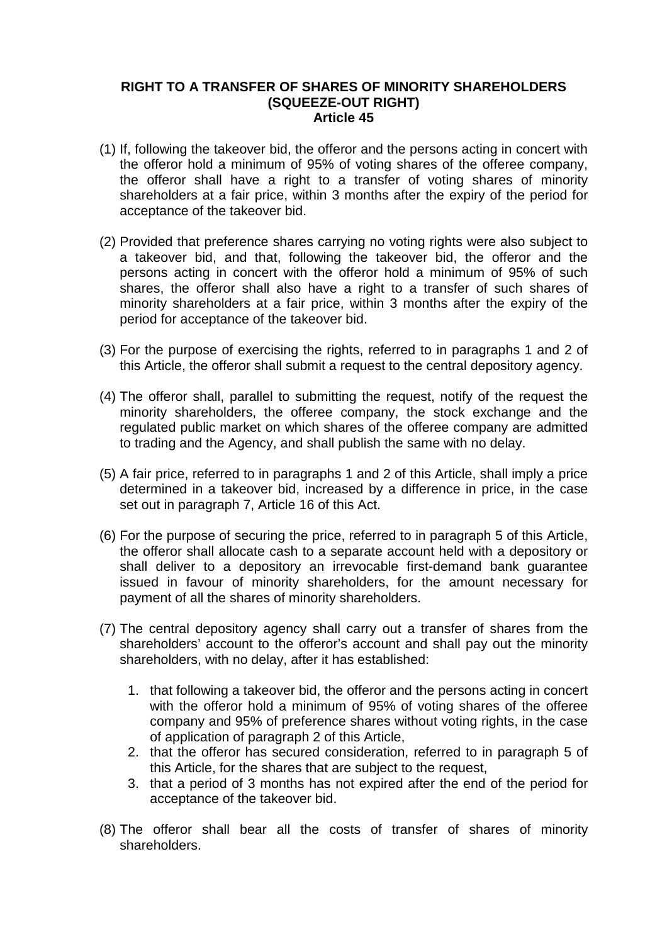#### **RIGHT TO A TRANSFER OF SHARES OF MINORITY SHAREHOLDERS (SQUEEZE-OUT RIGHT) Article 45**

- (1) If, following the takeover bid, the offeror and the persons acting in concert with the offeror hold a minimum of 95% of voting shares of the offeree company, the offeror shall have a right to a transfer of voting shares of minority shareholders at a fair price, within 3 months after the expiry of the period for acceptance of the takeover bid.
- (2) Provided that preference shares carrying no voting rights were also subject to a takeover bid, and that, following the takeover bid, the offeror and the persons acting in concert with the offeror hold a minimum of 95% of such shares, the offeror shall also have a right to a transfer of such shares of minority shareholders at a fair price, within 3 months after the expiry of the period for acceptance of the takeover bid.
- (3) For the purpose of exercising the rights, referred to in paragraphs 1 and 2 of this Article, the offeror shall submit a request to the central depository agency.
- (4) The offeror shall, parallel to submitting the request, notify of the request the minority shareholders, the offeree company, the stock exchange and the regulated public market on which shares of the offeree company are admitted to trading and the Agency, and shall publish the same with no delay.
- (5) A fair price, referred to in paragraphs 1 and 2 of this Article, shall imply a price determined in a takeover bid, increased by a difference in price, in the case set out in paragraph 7, Article 16 of this Act.
- (6) For the purpose of securing the price, referred to in paragraph 5 of this Article, the offeror shall allocate cash to a separate account held with a depository or shall deliver to a depository an irrevocable first-demand bank guarantee issued in favour of minority shareholders, for the amount necessary for payment of all the shares of minority shareholders.
- (7) The central depository agency shall carry out a transfer of shares from the shareholders' account to the offeror's account and shall pay out the minority shareholders, with no delay, after it has established:
	- 1. that following a takeover bid, the offeror and the persons acting in concert with the offeror hold a minimum of 95% of voting shares of the offeree company and 95% of preference shares without voting rights, in the case of application of paragraph 2 of this Article,
	- 2. that the offeror has secured consideration, referred to in paragraph 5 of this Article, for the shares that are subject to the request,
	- 3. that a period of 3 months has not expired after the end of the period for acceptance of the takeover bid.
- (8) The offeror shall bear all the costs of transfer of shares of minority shareholders.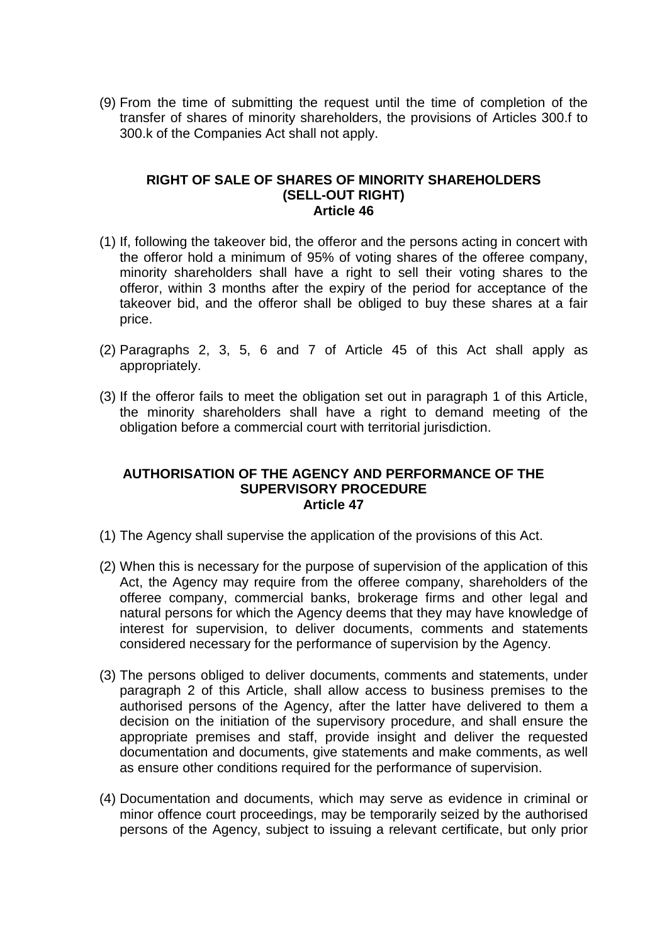(9) From the time of submitting the request until the time of completion of the transfer of shares of minority shareholders, the provisions of Articles 300.f to 300.k of the Companies Act shall not apply.

#### **RIGHT OF SALE OF SHARES OF MINORITY SHAREHOLDERS (SELL-OUT RIGHT) Article 46**

- (1) If, following the takeover bid, the offeror and the persons acting in concert with the offeror hold a minimum of 95% of voting shares of the offeree company, minority shareholders shall have a right to sell their voting shares to the offeror, within 3 months after the expiry of the period for acceptance of the takeover bid, and the offeror shall be obliged to buy these shares at a fair price.
- (2) Paragraphs 2, 3, 5, 6 and 7 of Article 45 of this Act shall apply as appropriately.
- (3) If the offeror fails to meet the obligation set out in paragraph 1 of this Article, the minority shareholders shall have a right to demand meeting of the obligation before a commercial court with territorial jurisdiction.

#### **AUTHORISATION OF THE AGENCY AND PERFORMANCE OF THE SUPERVISORY PROCEDURE Article 47**

- (1) The Agency shall supervise the application of the provisions of this Act.
- (2) When this is necessary for the purpose of supervision of the application of this Act, the Agency may require from the offeree company, shareholders of the offeree company, commercial banks, brokerage firms and other legal and natural persons for which the Agency deems that they may have knowledge of interest for supervision, to deliver documents, comments and statements considered necessary for the performance of supervision by the Agency.
- (3) The persons obliged to deliver documents, comments and statements, under paragraph 2 of this Article, shall allow access to business premises to the authorised persons of the Agency, after the latter have delivered to them a decision on the initiation of the supervisory procedure, and shall ensure the appropriate premises and staff, provide insight and deliver the requested documentation and documents, give statements and make comments, as well as ensure other conditions required for the performance of supervision.
- (4) Documentation and documents, which may serve as evidence in criminal or minor offence court proceedings, may be temporarily seized by the authorised persons of the Agency, subject to issuing a relevant certificate, but only prior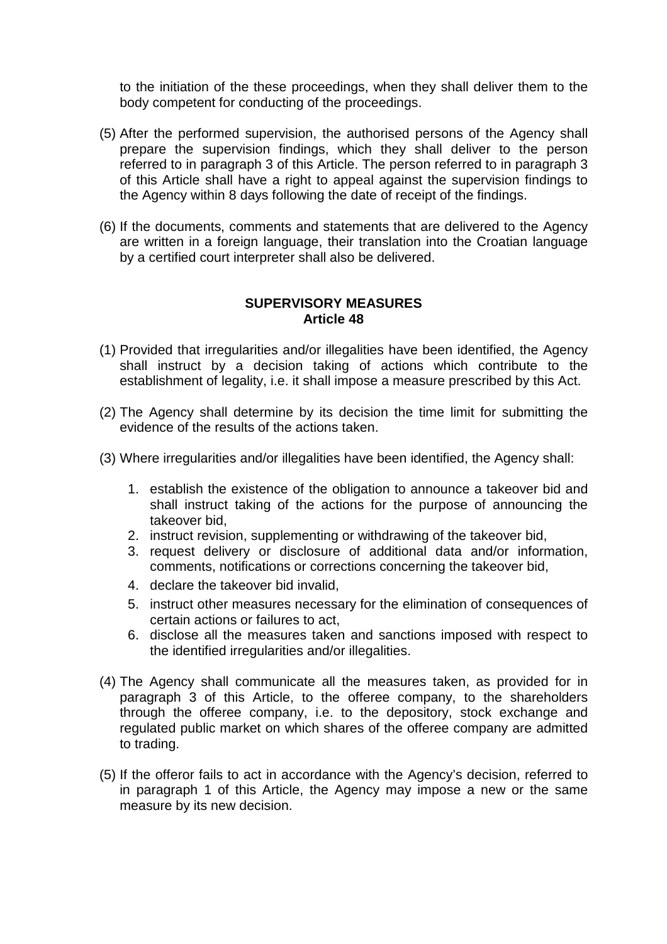to the initiation of the these proceedings, when they shall deliver them to the body competent for conducting of the proceedings.

- (5) After the performed supervision, the authorised persons of the Agency shall prepare the supervision findings, which they shall deliver to the person referred to in paragraph 3 of this Article. The person referred to in paragraph 3 of this Article shall have a right to appeal against the supervision findings to the Agency within 8 days following the date of receipt of the findings.
- (6) If the documents, comments and statements that are delivered to the Agency are written in a foreign language, their translation into the Croatian language by a certified court interpreter shall also be delivered.

#### **SUPERVISORY MEASURES Article 48**

- (1) Provided that irregularities and/or illegalities have been identified, the Agency shall instruct by a decision taking of actions which contribute to the establishment of legality, i.e. it shall impose a measure prescribed by this Act.
- (2) The Agency shall determine by its decision the time limit for submitting the evidence of the results of the actions taken.
- (3) Where irregularities and/or illegalities have been identified, the Agency shall:
	- 1. establish the existence of the obligation to announce a takeover bid and shall instruct taking of the actions for the purpose of announcing the takeover bid,
	- 2. instruct revision, supplementing or withdrawing of the takeover bid,
	- 3. request delivery or disclosure of additional data and/or information, comments, notifications or corrections concerning the takeover bid,
	- 4. declare the takeover bid invalid,
	- 5. instruct other measures necessary for the elimination of consequences of certain actions or failures to act,
	- 6. disclose all the measures taken and sanctions imposed with respect to the identified irregularities and/or illegalities.
- (4) The Agency shall communicate all the measures taken, as provided for in paragraph 3 of this Article, to the offeree company, to the shareholders through the offeree company, i.e. to the depository, stock exchange and regulated public market on which shares of the offeree company are admitted to trading.
- (5) If the offeror fails to act in accordance with the Agency's decision, referred to in paragraph 1 of this Article, the Agency may impose a new or the same measure by its new decision.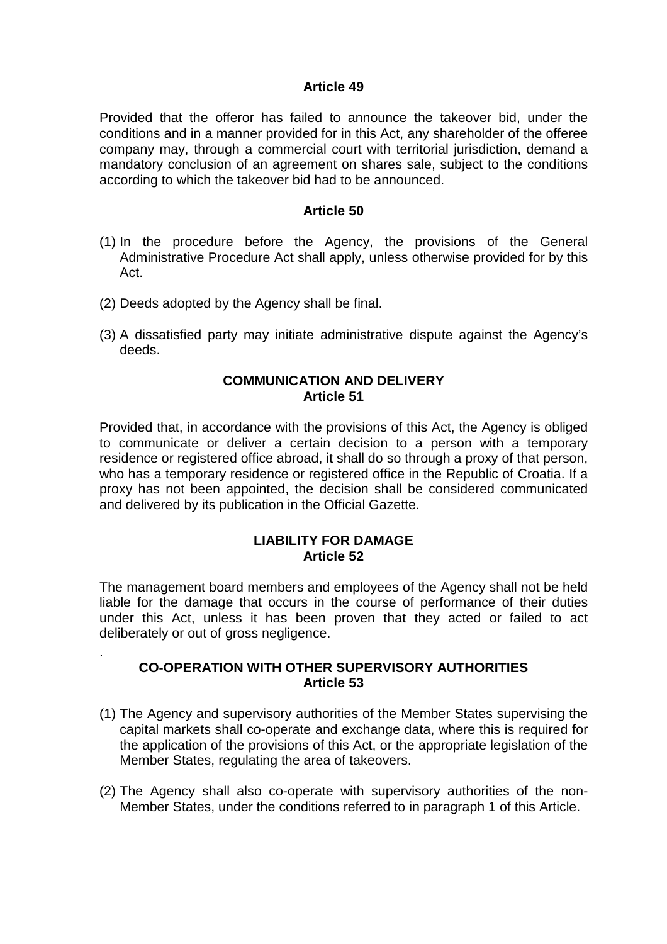Provided that the offeror has failed to announce the takeover bid, under the conditions and in a manner provided for in this Act, any shareholder of the offeree company may, through a commercial court with territorial jurisdiction, demand a mandatory conclusion of an agreement on shares sale, subject to the conditions according to which the takeover bid had to be announced.

#### **Article 50**

- (1) In the procedure before the Agency, the provisions of the General Administrative Procedure Act shall apply, unless otherwise provided for by this Act.
- (2) Deeds adopted by the Agency shall be final.

.

(3) A dissatisfied party may initiate administrative dispute against the Agency's deeds.

#### **COMMUNICATION AND DELIVERY Article 51**

Provided that, in accordance with the provisions of this Act, the Agency is obliged to communicate or deliver a certain decision to a person with a temporary residence or registered office abroad, it shall do so through a proxy of that person, who has a temporary residence or registered office in the Republic of Croatia. If a proxy has not been appointed, the decision shall be considered communicated and delivered by its publication in the Official Gazette.

#### **LIABILITY FOR DAMAGE Article 52**

The management board members and employees of the Agency shall not be held liable for the damage that occurs in the course of performance of their duties under this Act, unless it has been proven that they acted or failed to act deliberately or out of gross negligence.

#### **CO-OPERATION WITH OTHER SUPERVISORY AUTHORITIES Article 53**

- (1) The Agency and supervisory authorities of the Member States supervising the capital markets shall co-operate and exchange data, where this is required for the application of the provisions of this Act, or the appropriate legislation of the Member States, regulating the area of takeovers.
- (2) The Agency shall also co-operate with supervisory authorities of the non-Member States, under the conditions referred to in paragraph 1 of this Article.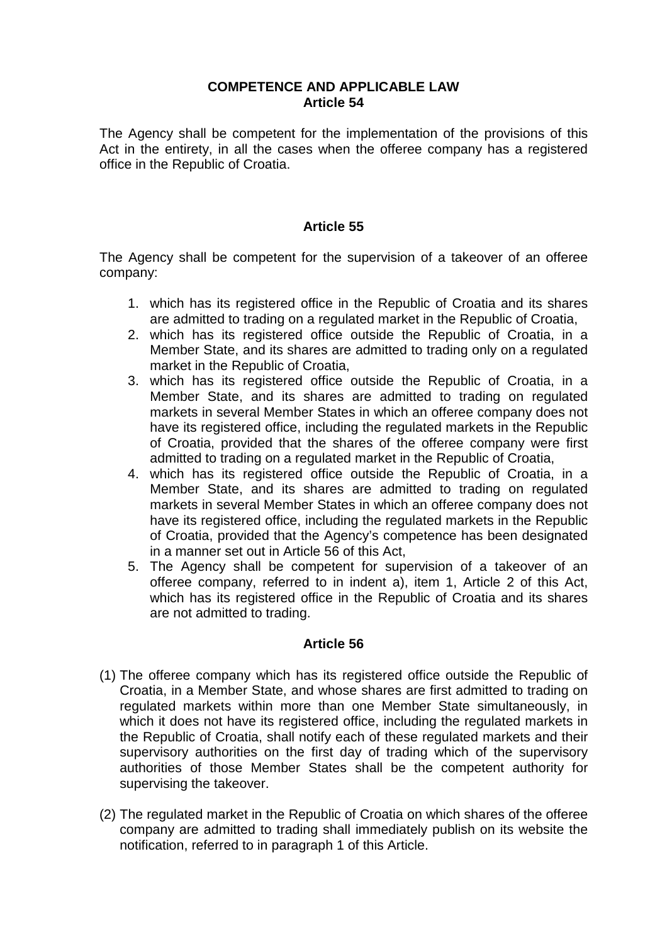#### **COMPETENCE AND APPLICABLE LAW Article 54**

The Agency shall be competent for the implementation of the provisions of this Act in the entirety, in all the cases when the offeree company has a registered office in the Republic of Croatia.

#### **Article 55**

The Agency shall be competent for the supervision of a takeover of an offeree company:

- 1. which has its registered office in the Republic of Croatia and its shares are admitted to trading on a regulated market in the Republic of Croatia,
- 2. which has its registered office outside the Republic of Croatia, in a Member State, and its shares are admitted to trading only on a regulated market in the Republic of Croatia,
- 3. which has its registered office outside the Republic of Croatia, in a Member State, and its shares are admitted to trading on regulated markets in several Member States in which an offeree company does not have its registered office, including the regulated markets in the Republic of Croatia, provided that the shares of the offeree company were first admitted to trading on a regulated market in the Republic of Croatia,
- 4. which has its registered office outside the Republic of Croatia, in a Member State, and its shares are admitted to trading on regulated markets in several Member States in which an offeree company does not have its registered office, including the regulated markets in the Republic of Croatia, provided that the Agency's competence has been designated in a manner set out in Article 56 of this Act,
- 5. The Agency shall be competent for supervision of a takeover of an offeree company, referred to in indent a), item 1, Article 2 of this Act, which has its registered office in the Republic of Croatia and its shares are not admitted to trading.

#### **Article 56**

- (1) The offeree company which has its registered office outside the Republic of Croatia, in a Member State, and whose shares are first admitted to trading on regulated markets within more than one Member State simultaneously, in which it does not have its registered office, including the regulated markets in the Republic of Croatia, shall notify each of these regulated markets and their supervisory authorities on the first day of trading which of the supervisory authorities of those Member States shall be the competent authority for supervising the takeover.
- (2) The regulated market in the Republic of Croatia on which shares of the offeree company are admitted to trading shall immediately publish on its website the notification, referred to in paragraph 1 of this Article.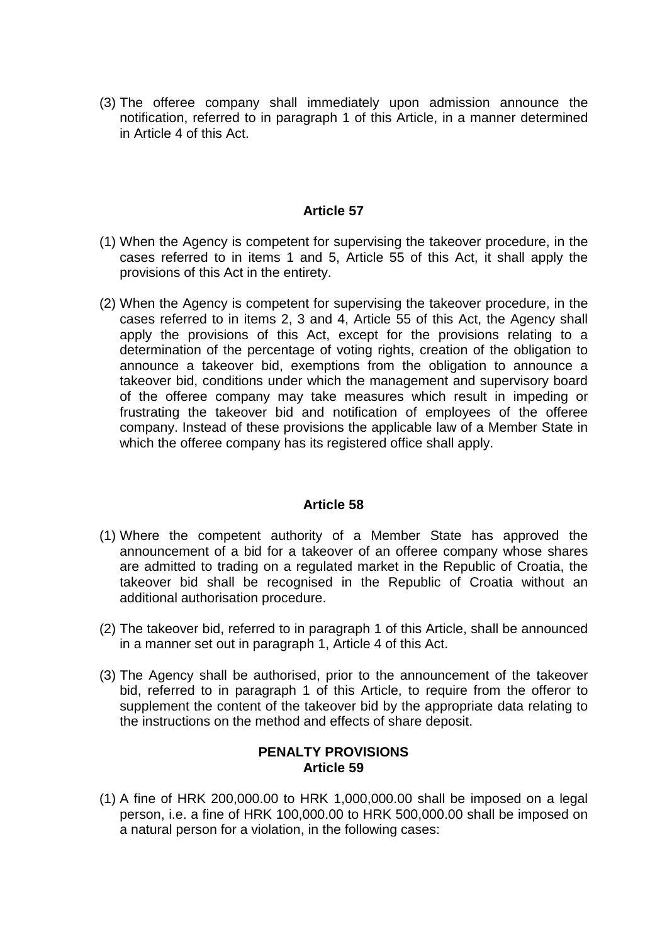(3) The offeree company shall immediately upon admission announce the notification, referred to in paragraph 1 of this Article, in a manner determined in Article 4 of this Act.

#### **Article 57**

- (1) When the Agency is competent for supervising the takeover procedure, in the cases referred to in items 1 and 5, Article 55 of this Act, it shall apply the provisions of this Act in the entirety.
- (2) When the Agency is competent for supervising the takeover procedure, in the cases referred to in items 2, 3 and 4, Article 55 of this Act, the Agency shall apply the provisions of this Act, except for the provisions relating to a determination of the percentage of voting rights, creation of the obligation to announce a takeover bid, exemptions from the obligation to announce a takeover bid, conditions under which the management and supervisory board of the offeree company may take measures which result in impeding or frustrating the takeover bid and notification of employees of the offeree company. Instead of these provisions the applicable law of a Member State in which the offeree company has its registered office shall apply.

#### **Article 58**

- (1) Where the competent authority of a Member State has approved the announcement of a bid for a takeover of an offeree company whose shares are admitted to trading on a regulated market in the Republic of Croatia, the takeover bid shall be recognised in the Republic of Croatia without an additional authorisation procedure.
- (2) The takeover bid, referred to in paragraph 1 of this Article, shall be announced in a manner set out in paragraph 1, Article 4 of this Act.
- (3) The Agency shall be authorised, prior to the announcement of the takeover bid, referred to in paragraph 1 of this Article, to require from the offeror to supplement the content of the takeover bid by the appropriate data relating to the instructions on the method and effects of share deposit.

#### **PENALTY PROVISIONS Article 59**

(1) A fine of HRK 200,000.00 to HRK 1,000,000.00 shall be imposed on a legal person, i.e. a fine of HRK 100,000.00 to HRK 500,000.00 shall be imposed on a natural person for a violation, in the following cases: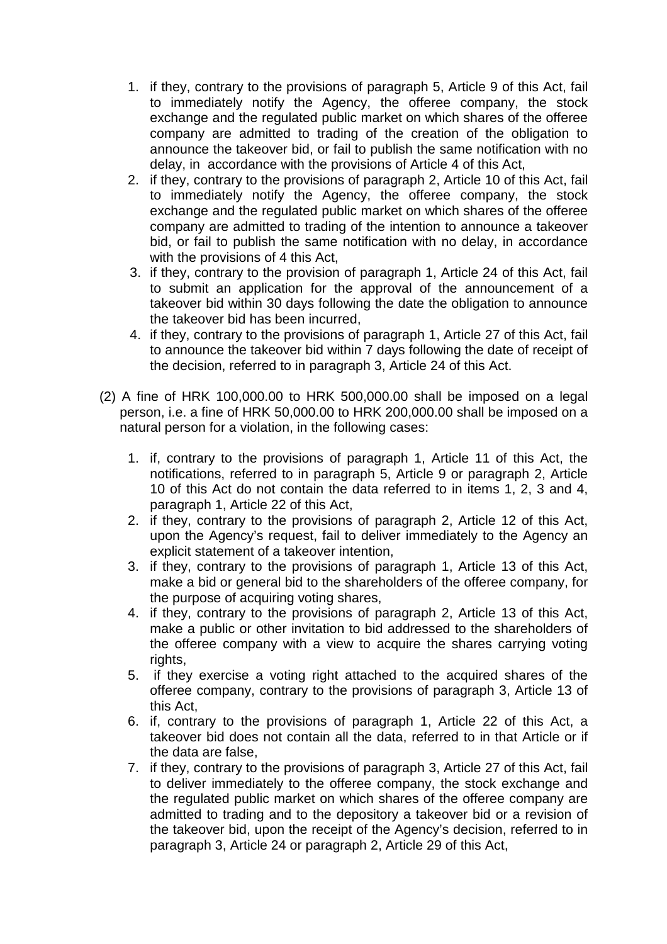- 1. if they, contrary to the provisions of paragraph 5, Article 9 of this Act, fail to immediately notify the Agency, the offeree company, the stock exchange and the regulated public market on which shares of the offeree company are admitted to trading of the creation of the obligation to announce the takeover bid, or fail to publish the same notification with no delay, in accordance with the provisions of Article 4 of this Act,
- 2. if they, contrary to the provisions of paragraph 2, Article 10 of this Act, fail to immediately notify the Agency, the offeree company, the stock exchange and the regulated public market on which shares of the offeree company are admitted to trading of the intention to announce a takeover bid, or fail to publish the same notification with no delay, in accordance with the provisions of 4 this Act,
- 3. if they, contrary to the provision of paragraph 1, Article 24 of this Act, fail to submit an application for the approval of the announcement of a takeover bid within 30 days following the date the obligation to announce the takeover bid has been incurred,
- 4. if they, contrary to the provisions of paragraph 1, Article 27 of this Act, fail to announce the takeover bid within 7 days following the date of receipt of the decision, referred to in paragraph 3, Article 24 of this Act.
- (2) A fine of HRK 100,000.00 to HRK 500,000.00 shall be imposed on a legal person, i.e. a fine of HRK 50,000.00 to HRK 200,000.00 shall be imposed on a natural person for a violation, in the following cases:
	- 1. if, contrary to the provisions of paragraph 1, Article 11 of this Act, the notifications, referred to in paragraph 5, Article 9 or paragraph 2, Article 10 of this Act do not contain the data referred to in items 1, 2, 3 and 4, paragraph 1, Article 22 of this Act,
	- 2. if they, contrary to the provisions of paragraph 2, Article 12 of this Act, upon the Agency's request, fail to deliver immediately to the Agency an explicit statement of a takeover intention,
	- 3. if they, contrary to the provisions of paragraph 1, Article 13 of this Act, make a bid or general bid to the shareholders of the offeree company, for the purpose of acquiring voting shares,
	- 4. if they, contrary to the provisions of paragraph 2, Article 13 of this Act, make a public or other invitation to bid addressed to the shareholders of the offeree company with a view to acquire the shares carrying voting rights,
	- 5. if they exercise a voting right attached to the acquired shares of the offeree company, contrary to the provisions of paragraph 3, Article 13 of this Act,
	- 6. if, contrary to the provisions of paragraph 1, Article 22 of this Act, a takeover bid does not contain all the data, referred to in that Article or if the data are false,
	- 7. if they, contrary to the provisions of paragraph 3, Article 27 of this Act, fail to deliver immediately to the offeree company, the stock exchange and the regulated public market on which shares of the offeree company are admitted to trading and to the depository a takeover bid or a revision of the takeover bid, upon the receipt of the Agency's decision, referred to in paragraph 3, Article 24 or paragraph 2, Article 29 of this Act,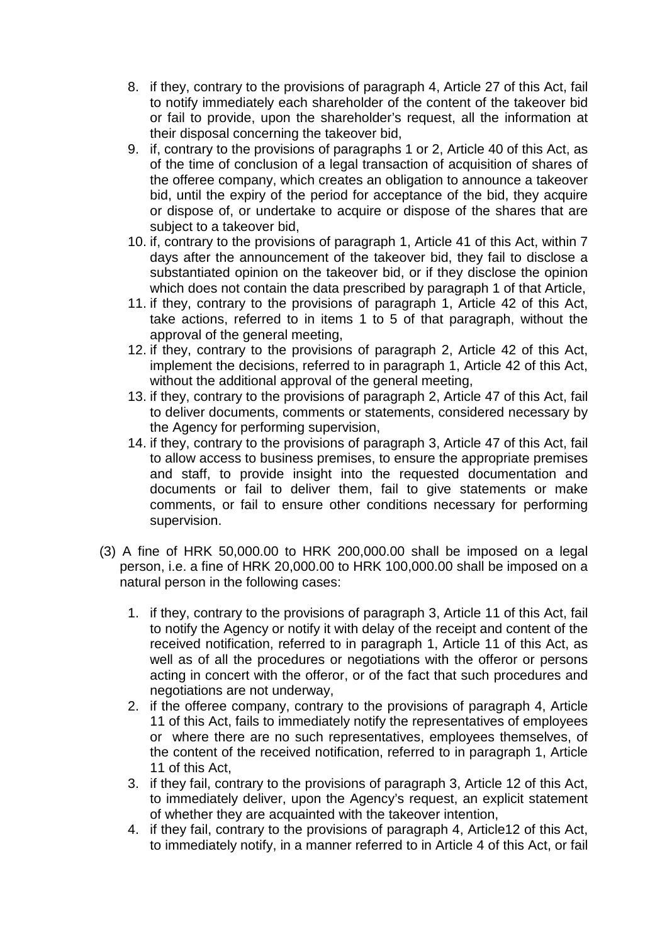- 8. if they, contrary to the provisions of paragraph 4, Article 27 of this Act, fail to notify immediately each shareholder of the content of the takeover bid or fail to provide, upon the shareholder's request, all the information at their disposal concerning the takeover bid,
- 9. if, contrary to the provisions of paragraphs 1 or 2, Article 40 of this Act, as of the time of conclusion of a legal transaction of acquisition of shares of the offeree company, which creates an obligation to announce a takeover bid, until the expiry of the period for acceptance of the bid, they acquire or dispose of, or undertake to acquire or dispose of the shares that are subject to a takeover bid,
- 10. if, contrary to the provisions of paragraph 1, Article 41 of this Act, within 7 days after the announcement of the takeover bid, they fail to disclose a substantiated opinion on the takeover bid, or if they disclose the opinion which does not contain the data prescribed by paragraph 1 of that Article,
- 11. if they, contrary to the provisions of paragraph 1, Article 42 of this Act, take actions, referred to in items 1 to 5 of that paragraph, without the approval of the general meeting,
- 12. if they, contrary to the provisions of paragraph 2, Article 42 of this Act, implement the decisions, referred to in paragraph 1, Article 42 of this Act, without the additional approval of the general meeting,
- 13. if they, contrary to the provisions of paragraph 2, Article 47 of this Act, fail to deliver documents, comments or statements, considered necessary by the Agency for performing supervision,
- 14. if they, contrary to the provisions of paragraph 3, Article 47 of this Act, fail to allow access to business premises, to ensure the appropriate premises and staff, to provide insight into the requested documentation and documents or fail to deliver them, fail to give statements or make comments, or fail to ensure other conditions necessary for performing supervision.
- (3) A fine of HRK 50,000.00 to HRK 200,000.00 shall be imposed on a legal person, i.e. a fine of HRK 20,000.00 to HRK 100,000.00 shall be imposed on a natural person in the following cases:
	- 1. if they, contrary to the provisions of paragraph 3, Article 11 of this Act, fail to notify the Agency or notify it with delay of the receipt and content of the received notification, referred to in paragraph 1, Article 11 of this Act, as well as of all the procedures or negotiations with the offeror or persons acting in concert with the offeror, or of the fact that such procedures and negotiations are not underway,
	- 2. if the offeree company, contrary to the provisions of paragraph 4, Article 11 of this Act, fails to immediately notify the representatives of employees or where there are no such representatives, employees themselves, of the content of the received notification, referred to in paragraph 1, Article 11 of this Act,
	- 3. if they fail, contrary to the provisions of paragraph 3, Article 12 of this Act, to immediately deliver, upon the Agency's request, an explicit statement of whether they are acquainted with the takeover intention,
	- 4. if they fail, contrary to the provisions of paragraph 4, Article12 of this Act, to immediately notify, in a manner referred to in Article 4 of this Act, or fail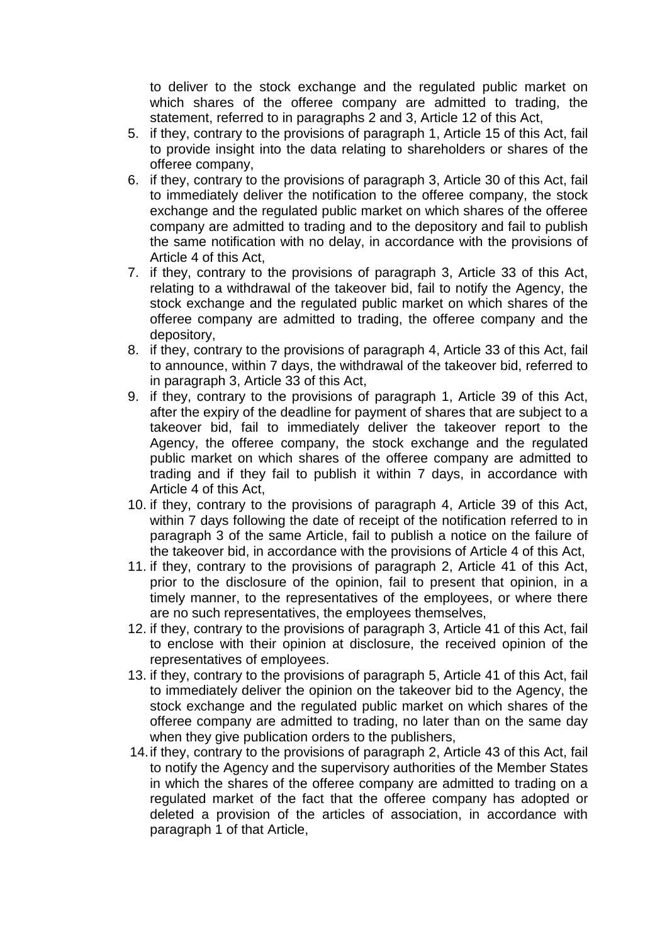to deliver to the stock exchange and the regulated public market on which shares of the offeree company are admitted to trading, the statement, referred to in paragraphs 2 and 3, Article 12 of this Act,

- 5. if they, contrary to the provisions of paragraph 1, Article 15 of this Act, fail to provide insight into the data relating to shareholders or shares of the offeree company,
- 6. if they, contrary to the provisions of paragraph 3, Article 30 of this Act, fail to immediately deliver the notification to the offeree company, the stock exchange and the regulated public market on which shares of the offeree company are admitted to trading and to the depository and fail to publish the same notification with no delay, in accordance with the provisions of Article 4 of this Act,
- 7. if they, contrary to the provisions of paragraph 3, Article 33 of this Act, relating to a withdrawal of the takeover bid, fail to notify the Agency, the stock exchange and the regulated public market on which shares of the offeree company are admitted to trading, the offeree company and the depository,
- 8. if they, contrary to the provisions of paragraph 4, Article 33 of this Act, fail to announce, within 7 days, the withdrawal of the takeover bid, referred to in paragraph 3, Article 33 of this Act,
- 9. if they, contrary to the provisions of paragraph 1, Article 39 of this Act, after the expiry of the deadline for payment of shares that are subject to a takeover bid, fail to immediately deliver the takeover report to the Agency, the offeree company, the stock exchange and the regulated public market on which shares of the offeree company are admitted to trading and if they fail to publish it within 7 days, in accordance with Article 4 of this Act,
- 10. if they, contrary to the provisions of paragraph 4, Article 39 of this Act, within 7 days following the date of receipt of the notification referred to in paragraph 3 of the same Article, fail to publish a notice on the failure of the takeover bid, in accordance with the provisions of Article 4 of this Act,
- 11. if they, contrary to the provisions of paragraph 2, Article 41 of this Act, prior to the disclosure of the opinion, fail to present that opinion, in a timely manner, to the representatives of the employees, or where there are no such representatives, the employees themselves,
- 12. if they, contrary to the provisions of paragraph 3, Article 41 of this Act, fail to enclose with their opinion at disclosure, the received opinion of the representatives of employees.
- 13. if they, contrary to the provisions of paragraph 5, Article 41 of this Act, fail to immediately deliver the opinion on the takeover bid to the Agency, the stock exchange and the regulated public market on which shares of the offeree company are admitted to trading, no later than on the same day when they give publication orders to the publishers,
- 14. if they, contrary to the provisions of paragraph 2, Article 43 of this Act, fail to notify the Agency and the supervisory authorities of the Member States in which the shares of the offeree company are admitted to trading on a regulated market of the fact that the offeree company has adopted or deleted a provision of the articles of association, in accordance with paragraph 1 of that Article,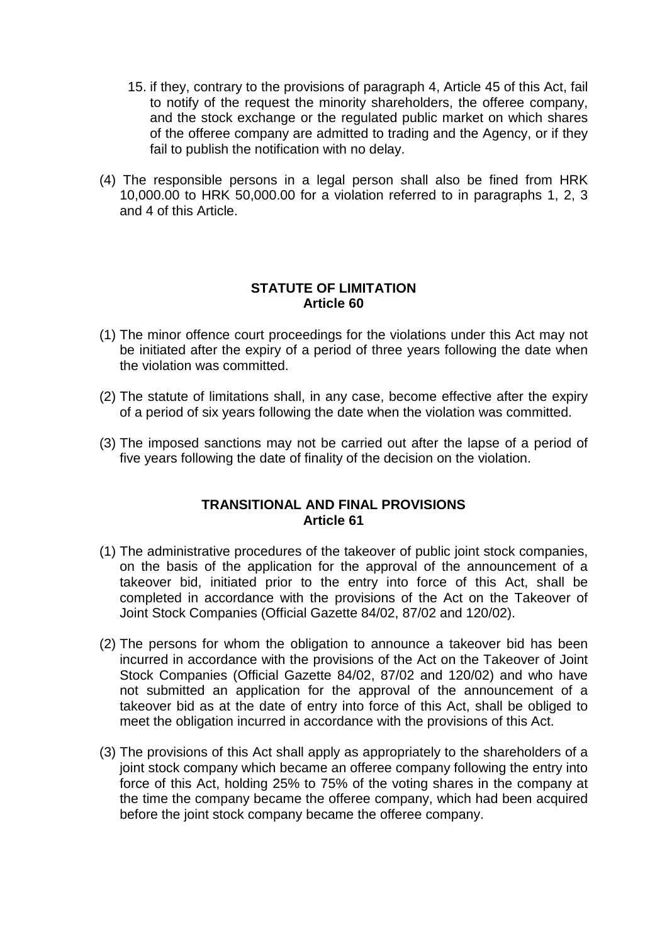- 15. if they, contrary to the provisions of paragraph 4, Article 45 of this Act, fail to notify of the request the minority shareholders, the offeree company, and the stock exchange or the regulated public market on which shares of the offeree company are admitted to trading and the Agency, or if they fail to publish the notification with no delay.
- (4) The responsible persons in a legal person shall also be fined from HRK 10,000.00 to HRK 50,000.00 for a violation referred to in paragraphs 1, 2, 3 and 4 of this Article.

#### **STATUTE OF LIMITATION Article 60**

- (1) The minor offence court proceedings for the violations under this Act may not be initiated after the expiry of a period of three years following the date when the violation was committed.
- (2) The statute of limitations shall, in any case, become effective after the expiry of a period of six years following the date when the violation was committed.
- (3) The imposed sanctions may not be carried out after the lapse of a period of five years following the date of finality of the decision on the violation.

#### **TRANSITIONAL AND FINAL PROVISIONS Article 61**

- (1) The administrative procedures of the takeover of public joint stock companies, on the basis of the application for the approval of the announcement of a takeover bid, initiated prior to the entry into force of this Act, shall be completed in accordance with the provisions of the Act on the Takeover of Joint Stock Companies (Official Gazette 84/02, 87/02 and 120/02).
- (2) The persons for whom the obligation to announce a takeover bid has been incurred in accordance with the provisions of the Act on the Takeover of Joint Stock Companies (Official Gazette 84/02, 87/02 and 120/02) and who have not submitted an application for the approval of the announcement of a takeover bid as at the date of entry into force of this Act, shall be obliged to meet the obligation incurred in accordance with the provisions of this Act.
- (3) The provisions of this Act shall apply as appropriately to the shareholders of a joint stock company which became an offeree company following the entry into force of this Act, holding 25% to 75% of the voting shares in the company at the time the company became the offeree company, which had been acquired before the joint stock company became the offeree company.